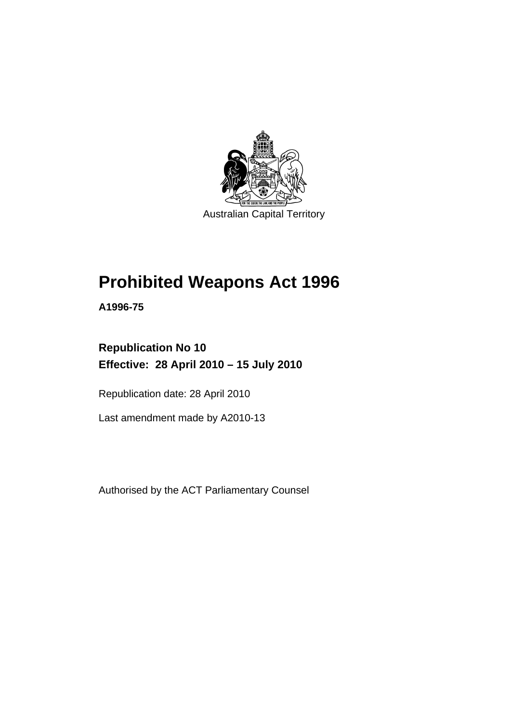

# **[Prohibited Weapons Act 1996](#page-6-0)**

**A1996-75** 

# **Republication No 10 Effective: 28 April 2010 – 15 July 2010**

Republication date: 28 April 2010

Last amendment made by A2010-13

Authorised by the ACT Parliamentary Counsel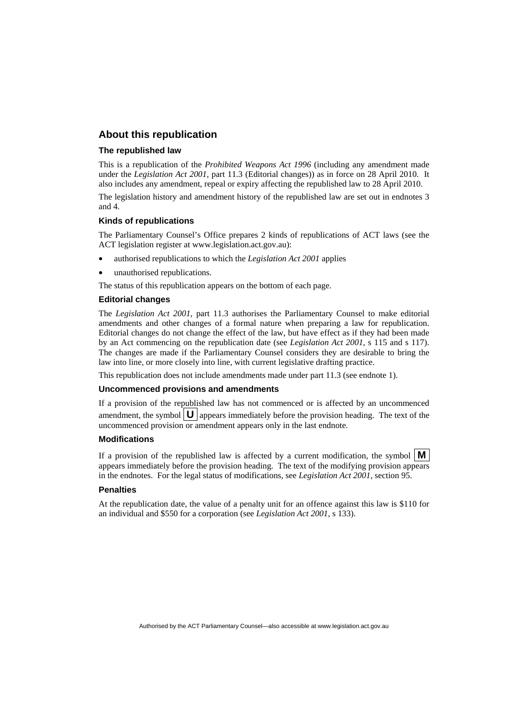### **About this republication**

### **The republished law**

This is a republication of the *Prohibited Weapons Act 1996* (including any amendment made under the *Legislation Act 2001*, part 11.3 (Editorial changes)) as in force on 28 April 2010*.* It also includes any amendment, repeal or expiry affecting the republished law to 28 April 2010.

The legislation history and amendment history of the republished law are set out in endnotes 3 and 4.

#### **Kinds of republications**

The Parliamentary Counsel's Office prepares 2 kinds of republications of ACT laws (see the ACT legislation register at www.legislation.act.gov.au):

- authorised republications to which the *Legislation Act 2001* applies
- unauthorised republications.

The status of this republication appears on the bottom of each page.

### **Editorial changes**

The *Legislation Act 2001*, part 11.3 authorises the Parliamentary Counsel to make editorial amendments and other changes of a formal nature when preparing a law for republication. Editorial changes do not change the effect of the law, but have effect as if they had been made by an Act commencing on the republication date (see *Legislation Act 2001*, s 115 and s 117). The changes are made if the Parliamentary Counsel considers they are desirable to bring the law into line, or more closely into line, with current legislative drafting practice.

This republication does not include amendments made under part 11.3 (see endnote 1).

### **Uncommenced provisions and amendments**

If a provision of the republished law has not commenced or is affected by an uncommenced amendment, the symbol  $\mathbf{U}$  appears immediately before the provision heading. The text of the uncommenced provision or amendment appears only in the last endnote.

#### **Modifications**

If a provision of the republished law is affected by a current modification, the symbol  $\mathbf{M}$ appears immediately before the provision heading. The text of the modifying provision appears in the endnotes. For the legal status of modifications, see *Legislation Act 2001*, section 95.

#### **Penalties**

At the republication date, the value of a penalty unit for an offence against this law is \$110 for an individual and \$550 for a corporation (see *Legislation Act 2001*, s 133).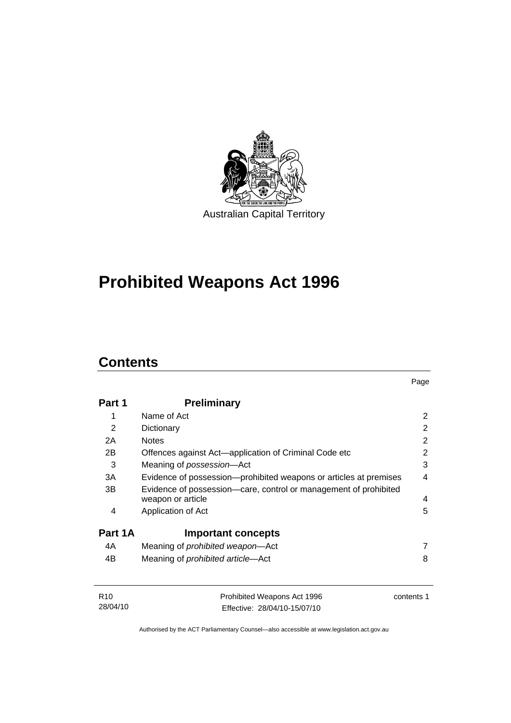

# **[Prohibited Weapons Act 1996](#page-6-0)**

# **Contents**

| Part 1  | <b>Preliminary</b>                                                                    |   |
|---------|---------------------------------------------------------------------------------------|---|
| 1       | Name of Act                                                                           | 2 |
| 2       | Dictionary                                                                            | 2 |
| 2A      | <b>Notes</b>                                                                          | 2 |
| 2B      | Offences against Act-application of Criminal Code etc                                 | 2 |
| 3       | Meaning of <i>possession</i> —Act                                                     | 3 |
| 3A      | Evidence of possession—prohibited weapons or articles at premises                     | 4 |
| 3B      | Evidence of possession-care, control or management of prohibited<br>weapon or article | 4 |
| 4       | Application of Act                                                                    | 5 |
| Part 1A | <b>Important concepts</b>                                                             |   |
| 4A      | Meaning of <i>prohibited</i> weapon-Act                                               | 7 |
| 4B      | Meaning of <i>prohibited article</i> —Act                                             | 8 |
|         |                                                                                       |   |

| R10      | Prohibited Weapons Act 1996  | contents 1 |
|----------|------------------------------|------------|
| 28/04/10 | Effective: 28/04/10-15/07/10 |            |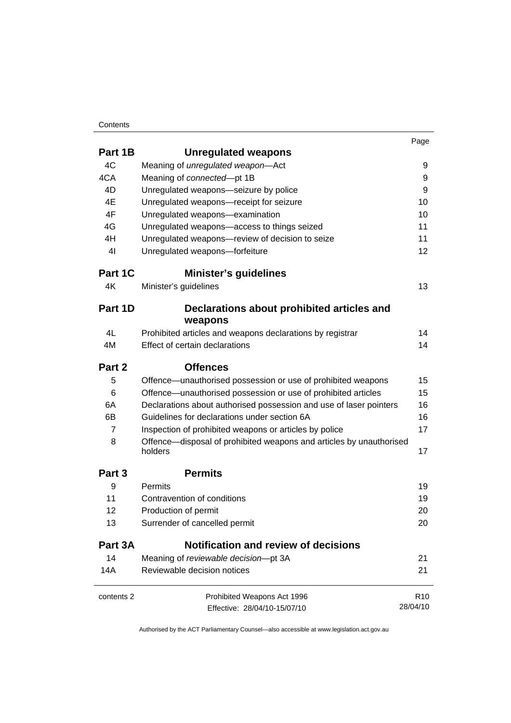#### Contents

| -ane |
|------|
|      |

| Part 1B        | <b>Unregulated weapons</b>                                                     |                 |
|----------------|--------------------------------------------------------------------------------|-----------------|
| 4C             | Meaning of unregulated weapon-Act                                              | 9               |
| 4CA            | Meaning of connected-pt 1B                                                     | 9               |
| 4D             | Unregulated weapons-seizure by police                                          | 9               |
| 4E             | Unregulated weapons-receipt for seizure                                        | 10              |
| 4F             | Unregulated weapons-examination                                                | 10              |
| 4G             | Unregulated weapons-access to things seized                                    | 11              |
| 4H             | Unregulated weapons-review of decision to seize                                | 11              |
| 4 <sub>l</sub> | Unregulated weapons-forfeiture                                                 | 12              |
| Part 1C        | <b>Minister's guidelines</b>                                                   |                 |
| 4K             | Minister's guidelines                                                          | 13              |
| Part 1D        | Declarations about prohibited articles and<br>weapons                          |                 |
| 4L             | Prohibited articles and weapons declarations by registrar                      | 14              |
| 4M             | Effect of certain declarations                                                 | 14              |
| Part 2         | <b>Offences</b>                                                                |                 |
| 5              | Offence-unauthorised possession or use of prohibited weapons                   | 15              |
| 6              | Offence—unauthorised possession or use of prohibited articles                  | 15              |
| 6A             | Declarations about authorised possession and use of laser pointers             | 16              |
| 6B             | Guidelines for declarations under section 6A                                   | 16              |
| $\overline{7}$ | Inspection of prohibited weapons or articles by police                         | 17              |
| 8              | Offence-disposal of prohibited weapons and articles by unauthorised<br>holders | 17              |
| Part 3         | <b>Permits</b>                                                                 |                 |
| 9              | Permits                                                                        | 19              |
| 11             | Contravention of conditions                                                    | 19              |
| 12             | Production of permit                                                           | 20              |
| 13             | Surrender of cancelled permit                                                  | 20              |
| Part 3A        | <b>Notification and review of decisions</b>                                    |                 |
| 14             | Meaning of reviewable decision-pt 3A                                           | 21              |
| 14A            | Reviewable decision notices                                                    | 21              |
| contents 2     | Prohibited Weapons Act 1996                                                    | R <sub>10</sub> |
|                | Effective: 28/04/10-15/07/10                                                   | 28/04/10        |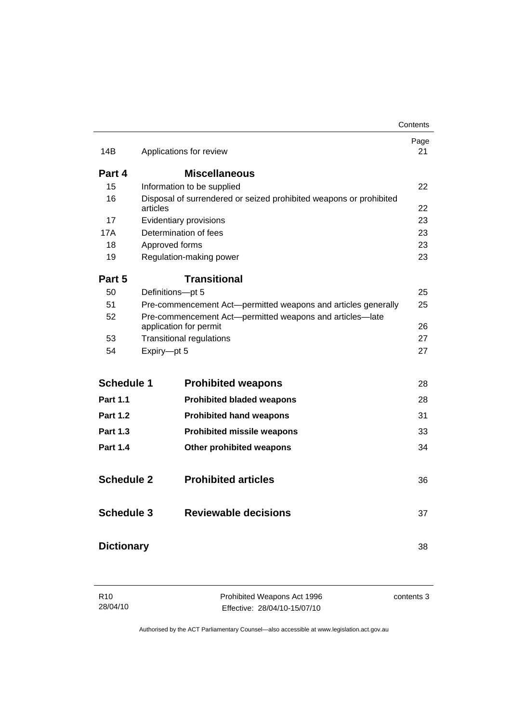|                   |                      |                                                                    | Contents   |  |  |
|-------------------|----------------------|--------------------------------------------------------------------|------------|--|--|
| 14B               |                      | Applications for review                                            | Page<br>21 |  |  |
| Part 4            | <b>Miscellaneous</b> |                                                                    |            |  |  |
| 15                |                      | Information to be supplied                                         | 22         |  |  |
| 16                | articles             | Disposal of surrendered or seized prohibited weapons or prohibited | 22         |  |  |
| 17                |                      | Evidentiary provisions                                             | 23         |  |  |
| 17A               |                      | Determination of fees                                              | 23         |  |  |
| 18                | Approved forms       |                                                                    | 23         |  |  |
| 19                |                      | Regulation-making power                                            | 23         |  |  |
| Part 5            |                      | <b>Transitional</b>                                                |            |  |  |
| 50                | Definitions-pt 5     |                                                                    | 25         |  |  |
| 51                |                      | Pre-commencement Act-permitted weapons and articles generally      | 25         |  |  |
| 52                |                      | Pre-commencement Act-permitted weapons and articles-late           |            |  |  |
|                   |                      | application for permit                                             |            |  |  |
| 53                |                      | <b>Transitional regulations</b>                                    | 27         |  |  |
| 54                | Expiry-pt 5          |                                                                    | 27         |  |  |
| <b>Schedule 1</b> |                      | <b>Prohibited weapons</b>                                          | 28         |  |  |
| <b>Part 1.1</b>   |                      | <b>Prohibited bladed weapons</b>                                   | 28         |  |  |
| <b>Part 1.2</b>   |                      | <b>Prohibited hand weapons</b>                                     | 31         |  |  |
| <b>Part 1.3</b>   |                      | <b>Prohibited missile weapons</b>                                  | 33         |  |  |
| <b>Part 1.4</b>   |                      | <b>Other prohibited weapons</b>                                    | 34         |  |  |
| <b>Schedule 2</b> |                      | <b>Prohibited articles</b>                                         | 36         |  |  |
| <b>Schedule 3</b> |                      | <b>Reviewable decisions</b>                                        | 37         |  |  |
| <b>Dictionary</b> |                      |                                                                    | 38         |  |  |
|                   |                      |                                                                    |            |  |  |

| R <sub>10</sub> | Prohibited Weapons Act 1996  | contents 3 |
|-----------------|------------------------------|------------|
| 28/04/10        | Effective: 28/04/10-15/07/10 |            |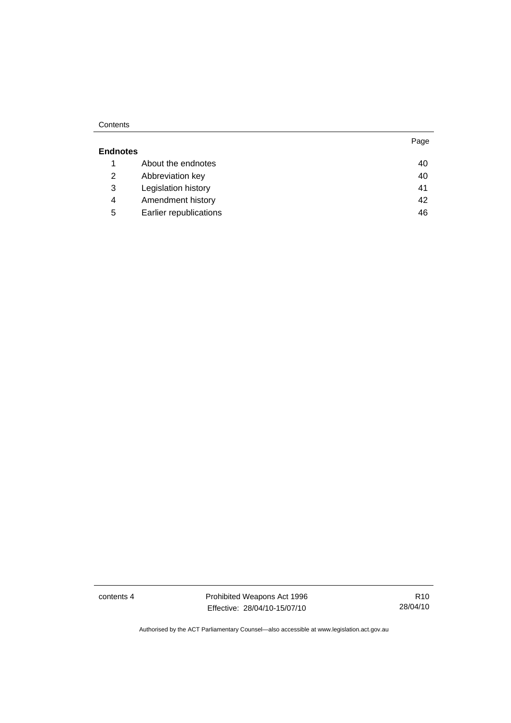### **Contents**

|                 |                        | Page |
|-----------------|------------------------|------|
| <b>Endnotes</b> |                        |      |
|                 | About the endnotes     | 40   |
| 2               | Abbreviation key       | 40   |
| 3               | Legislation history    | 41   |
| 4               | Amendment history      | 42   |
| 5               | Earlier republications | 46   |

contents 4 **Prohibited Weapons Act 1996** Effective: 28/04/10-15/07/10

R10 28/04/10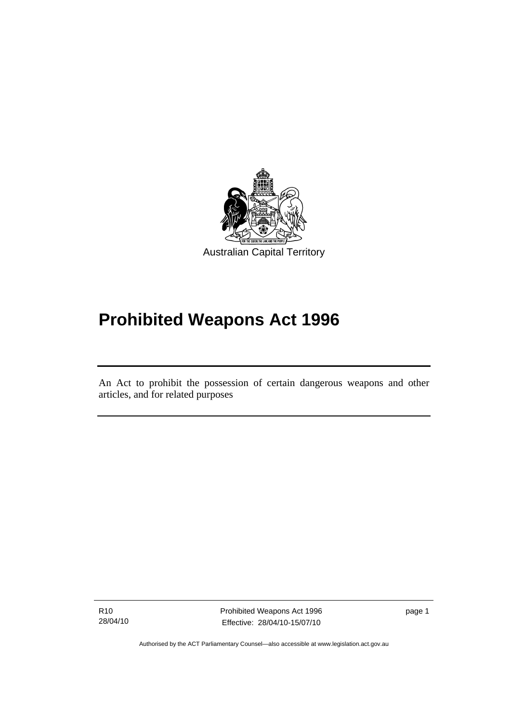<span id="page-6-0"></span>

# **Prohibited Weapons Act 1996**

An Act to prohibit the possession of certain dangerous weapons and other articles, and for related purposes

R10 28/04/10

֖֚֚֚֬

Prohibited Weapons Act 1996 Effective: 28/04/10-15/07/10

page 1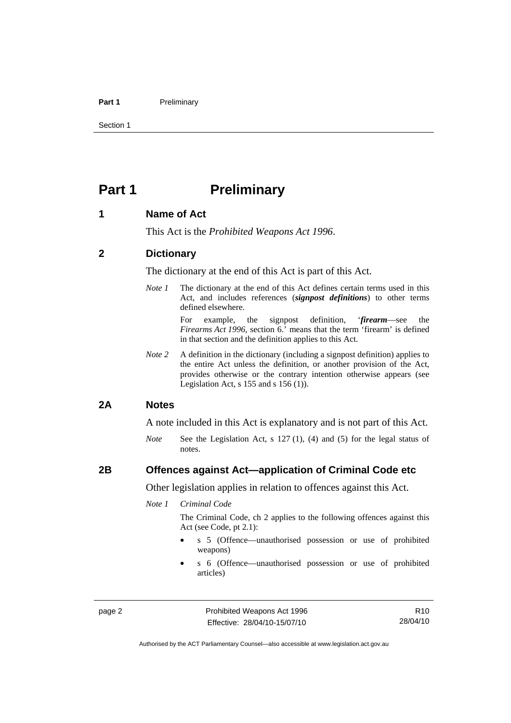#### <span id="page-7-0"></span>Part 1 **Preliminary**

Section 1

# **Part 1** Preliminary

### **1 Name of Act**

This Act is the *Prohibited Weapons Act 1996*.

### **2 Dictionary**

The dictionary at the end of this Act is part of this Act.

*Note 1* The dictionary at the end of this Act defines certain terms used in this Act, and includes references (*signpost definitions*) to other terms defined elsewhere.

> For example, the signpost definition, '*firearm*—see the *Firearms Act 1996*, section 6.' means that the term 'firearm' is defined in that section and the definition applies to this Act.

*Note 2* A definition in the dictionary (including a signpost definition) applies to the entire Act unless the definition, or another provision of the Act, provides otherwise or the contrary intention otherwise appears (see Legislation Act, s 155 and s 156 (1)).

### **2A Notes**

A note included in this Act is explanatory and is not part of this Act.

*Note* See the Legislation Act, s 127 (1), (4) and (5) for the legal status of notes.

### **2B Offences against Act—application of Criminal Code etc**

Other legislation applies in relation to offences against this Act.

### *Note 1 Criminal Code*

The Criminal Code, ch 2 applies to the following offences against this Act (see Code, pt 2.1):

- s 5 (Offence—unauthorised possession or use of prohibited weapons)
- s 6 (Offence—unauthorised possession or use of prohibited articles)

page 2 **Prohibited Weapons Act 1996** Effective: 28/04/10-15/07/10

R10 28/04/10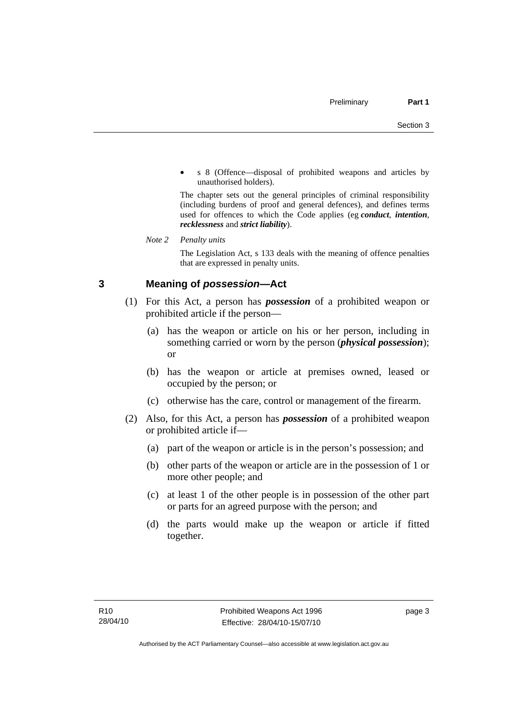<span id="page-8-0"></span>• s 8 (Offence—disposal of prohibited weapons and articles by unauthorised holders).

The chapter sets out the general principles of criminal responsibility (including burdens of proof and general defences), and defines terms used for offences to which the Code applies (eg *conduct*, *intention*, *recklessness* and *strict liability*).

*Note 2 Penalty units* 

The Legislation Act, s 133 deals with the meaning of offence penalties that are expressed in penalty units.

# **3 Meaning of** *possession***—Act**

- (1) For this Act, a person has *possession* of a prohibited weapon or prohibited article if the person—
	- (a) has the weapon or article on his or her person, including in something carried or worn by the person (*physical possession*); or
	- (b) has the weapon or article at premises owned, leased or occupied by the person; or
	- (c) otherwise has the care, control or management of the firearm.
- (2) Also, for this Act, a person has *possession* of a prohibited weapon or prohibited article if—
	- (a) part of the weapon or article is in the person's possession; and
	- (b) other parts of the weapon or article are in the possession of 1 or more other people; and
	- (c) at least 1 of the other people is in possession of the other part or parts for an agreed purpose with the person; and
	- (d) the parts would make up the weapon or article if fitted together.

page 3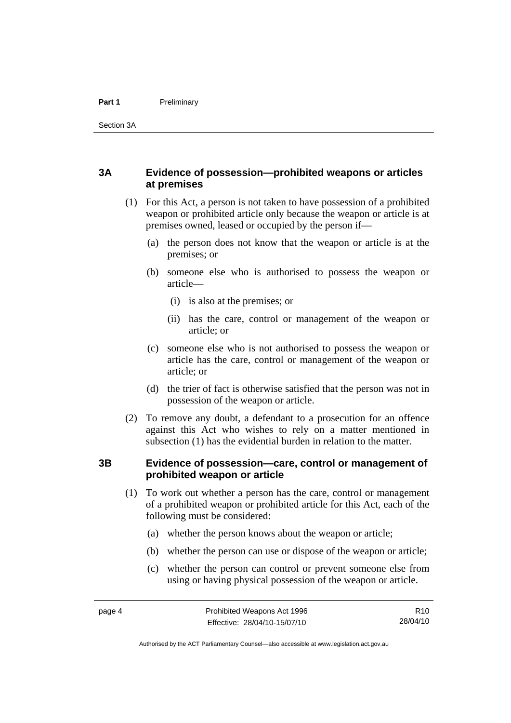# <span id="page-9-0"></span>**3A Evidence of possession—prohibited weapons or articles at premises**

- (1) For this Act, a person is not taken to have possession of a prohibited weapon or prohibited article only because the weapon or article is at premises owned, leased or occupied by the person if—
	- (a) the person does not know that the weapon or article is at the premises; or
	- (b) someone else who is authorised to possess the weapon or article—
		- (i) is also at the premises; or
		- (ii) has the care, control or management of the weapon or article; or
	- (c) someone else who is not authorised to possess the weapon or article has the care, control or management of the weapon or article; or
	- (d) the trier of fact is otherwise satisfied that the person was not in possession of the weapon or article.
- (2) To remove any doubt, a defendant to a prosecution for an offence against this Act who wishes to rely on a matter mentioned in subsection (1) has the evidential burden in relation to the matter.

### **3B Evidence of possession—care, control or management of prohibited weapon or article**

- (1) To work out whether a person has the care, control or management of a prohibited weapon or prohibited article for this Act, each of the following must be considered:
	- (a) whether the person knows about the weapon or article;
	- (b) whether the person can use or dispose of the weapon or article;
	- (c) whether the person can control or prevent someone else from using or having physical possession of the weapon or article.

R10 28/04/10

Authorised by the ACT Parliamentary Counsel—also accessible at www.legislation.act.gov.au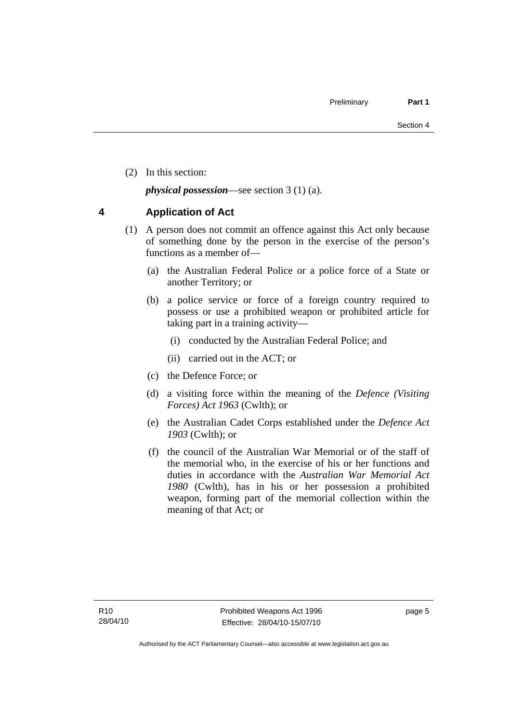<span id="page-10-0"></span>(2) In this section:

*physical possession*—see section 3 (1) (a).

# **4 Application of Act**

- (1) A person does not commit an offence against this Act only because of something done by the person in the exercise of the person's functions as a member of—
	- (a) the Australian Federal Police or a police force of a State or another Territory; or
	- (b) a police service or force of a foreign country required to possess or use a prohibited weapon or prohibited article for taking part in a training activity—
		- (i) conducted by the Australian Federal Police; and
		- (ii) carried out in the ACT; or
	- (c) the Defence Force; or
	- (d) a visiting force within the meaning of the *Defence (Visiting Forces) Act 1963* (Cwlth); or
	- (e) the Australian Cadet Corps established under the *Defence Act 1903* (Cwlth); or
	- (f) the council of the Australian War Memorial or of the staff of the memorial who, in the exercise of his or her functions and duties in accordance with the *Australian War Memorial Act 1980* (Cwlth), has in his or her possession a prohibited weapon, forming part of the memorial collection within the meaning of that Act; or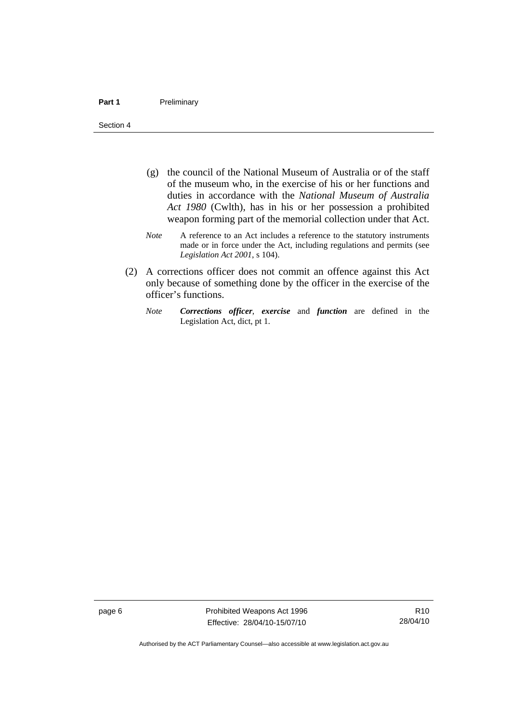- (g) the council of the National Museum of Australia or of the staff of the museum who, in the exercise of his or her functions and duties in accordance with the *National Museum of Australia Act 1980* (Cwlth), has in his or her possession a prohibited weapon forming part of the memorial collection under that Act.
- *Note* A reference to an Act includes a reference to the statutory instruments made or in force under the Act, including regulations and permits (see *Legislation Act 2001*, s 104).
- (2) A corrections officer does not commit an offence against this Act only because of something done by the officer in the exercise of the officer's functions.
	- *Note Corrections officer*, *exercise* and *function* are defined in the Legislation Act, dict, pt 1.

page 6 **Prohibited Weapons Act 1996** Effective: 28/04/10-15/07/10

Authorised by the ACT Parliamentary Counsel—also accessible at www.legislation.act.gov.au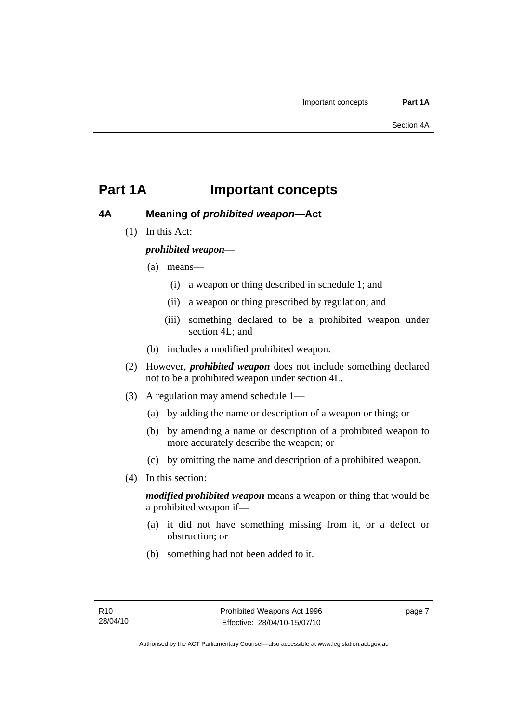# <span id="page-12-0"></span>**Part 1A Important concepts**

### **4A Meaning of** *prohibited weapon***—Act**

(1) In this Act:

# *prohibited weapon*—

- (a) means—
	- (i) a weapon or thing described in schedule 1; and
	- (ii) a weapon or thing prescribed by regulation; and
	- (iii) something declared to be a prohibited weapon under section 4L; and
- (b) includes a modified prohibited weapon.
- (2) However, *prohibited weapon* does not include something declared not to be a prohibited weapon under section 4L.
- (3) A regulation may amend schedule 1—
	- (a) by adding the name or description of a weapon or thing; or
	- (b) by amending a name or description of a prohibited weapon to more accurately describe the weapon; or
	- (c) by omitting the name and description of a prohibited weapon.
- (4) In this section:

*modified prohibited weapon* means a weapon or thing that would be a prohibited weapon if—

- (a) it did not have something missing from it, or a defect or obstruction; or
- (b) something had not been added to it.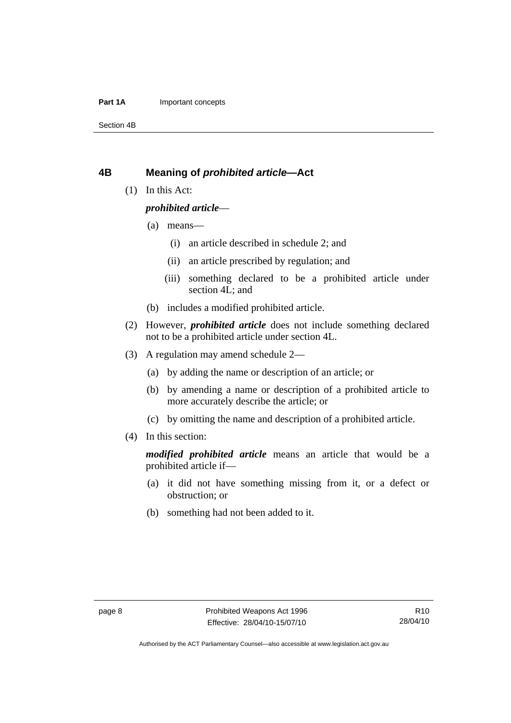### <span id="page-13-0"></span>**Part 1A Important concepts**

Section 4B

### **4B Meaning of** *prohibited article***—Act**

(1) In this Act:

### *prohibited article*—

- (a) means—
	- (i) an article described in schedule 2; and
	- (ii) an article prescribed by regulation; and
	- (iii) something declared to be a prohibited article under section 4L; and
- (b) includes a modified prohibited article.
- (2) However, *prohibited article* does not include something declared not to be a prohibited article under section 4L.
- (3) A regulation may amend schedule 2—
	- (a) by adding the name or description of an article; or
	- (b) by amending a name or description of a prohibited article to more accurately describe the article; or
	- (c) by omitting the name and description of a prohibited article.
- (4) In this section:

*modified prohibited article* means an article that would be a prohibited article if—

- (a) it did not have something missing from it, or a defect or obstruction; or
- (b) something had not been added to it.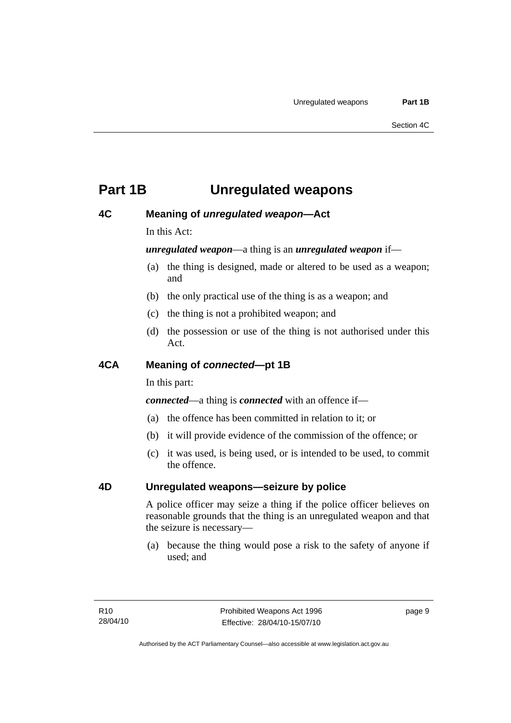# <span id="page-14-0"></span>**Part 1B Unregulated weapons**

# **4C Meaning of** *unregulated weapon***—Act**

In this Act:

### *unregulated weapon*—a thing is an *unregulated weapon* if—

- (a) the thing is designed, made or altered to be used as a weapon; and
- (b) the only practical use of the thing is as a weapon; and
- (c) the thing is not a prohibited weapon; and
- (d) the possession or use of the thing is not authorised under this Act.

# **4CA Meaning of** *connected***—pt 1B**

In this part:

*connected*—a thing is *connected* with an offence if—

- (a) the offence has been committed in relation to it; or
- (b) it will provide evidence of the commission of the offence; or
- (c) it was used, is being used, or is intended to be used, to commit the offence.

# **4D Unregulated weapons—seizure by police**

A police officer may seize a thing if the police officer believes on reasonable grounds that the thing is an unregulated weapon and that the seizure is necessary—

 (a) because the thing would pose a risk to the safety of anyone if used; and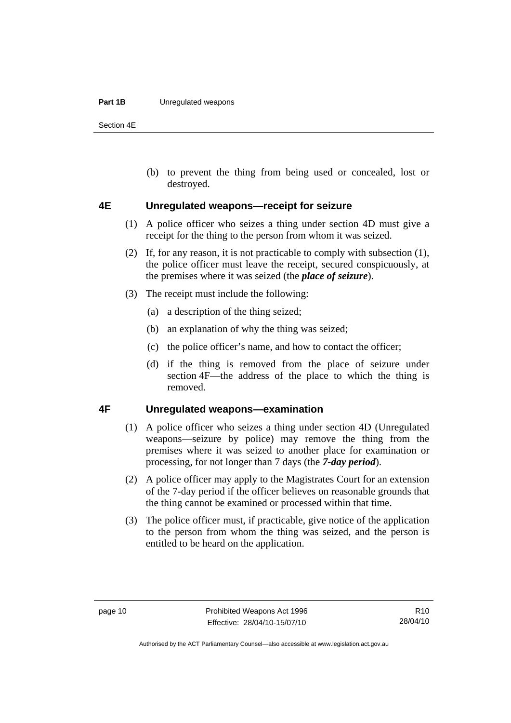#### <span id="page-15-0"></span>**Part 1B** Unregulated weapons

Section 4E

 (b) to prevent the thing from being used or concealed, lost or destroyed.

### **4E Unregulated weapons—receipt for seizure**

- (1) A police officer who seizes a thing under section 4D must give a receipt for the thing to the person from whom it was seized.
- (2) If, for any reason, it is not practicable to comply with subsection (1), the police officer must leave the receipt, secured conspicuously, at the premises where it was seized (the *place of seizure*).
- (3) The receipt must include the following:
	- (a) a description of the thing seized;
	- (b) an explanation of why the thing was seized;
	- (c) the police officer's name, and how to contact the officer;
	- (d) if the thing is removed from the place of seizure under section 4F—the address of the place to which the thing is removed.

# **4F Unregulated weapons—examination**

- (1) A police officer who seizes a thing under section 4D (Unregulated weapons—seizure by police) may remove the thing from the premises where it was seized to another place for examination or processing, for not longer than 7 days (the *7-day period*).
- (2) A police officer may apply to the Magistrates Court for an extension of the 7-day period if the officer believes on reasonable grounds that the thing cannot be examined or processed within that time.
- (3) The police officer must, if practicable, give notice of the application to the person from whom the thing was seized, and the person is entitled to be heard on the application.

R10 28/04/10

Authorised by the ACT Parliamentary Counsel—also accessible at www.legislation.act.gov.au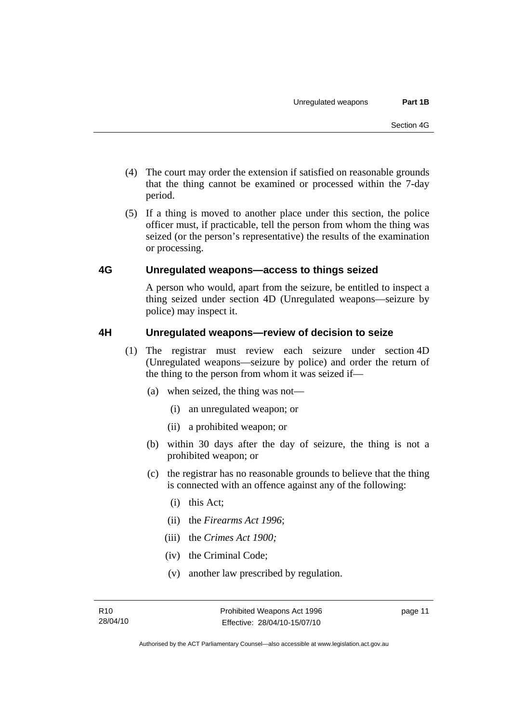- <span id="page-16-0"></span> (4) The court may order the extension if satisfied on reasonable grounds that the thing cannot be examined or processed within the 7-day period.
- (5) If a thing is moved to another place under this section, the police officer must, if practicable, tell the person from whom the thing was seized (or the person's representative) the results of the examination or processing.

# **4G Unregulated weapons—access to things seized**

A person who would, apart from the seizure, be entitled to inspect a thing seized under section 4D (Unregulated weapons—seizure by police) may inspect it.

# **4H Unregulated weapons—review of decision to seize**

- (1) The registrar must review each seizure under section 4D (Unregulated weapons—seizure by police) and order the return of the thing to the person from whom it was seized if—
	- (a) when seized, the thing was not—
		- (i) an unregulated weapon; or
		- (ii) a prohibited weapon; or
	- (b) within 30 days after the day of seizure, the thing is not a prohibited weapon; or
	- (c) the registrar has no reasonable grounds to believe that the thing is connected with an offence against any of the following:
		- (i) this Act;
		- (ii) the *Firearms Act 1996*;
		- (iii) the *Crimes Act 1900;*
		- (iv) the Criminal Code;
		- (v) another law prescribed by regulation.

page 11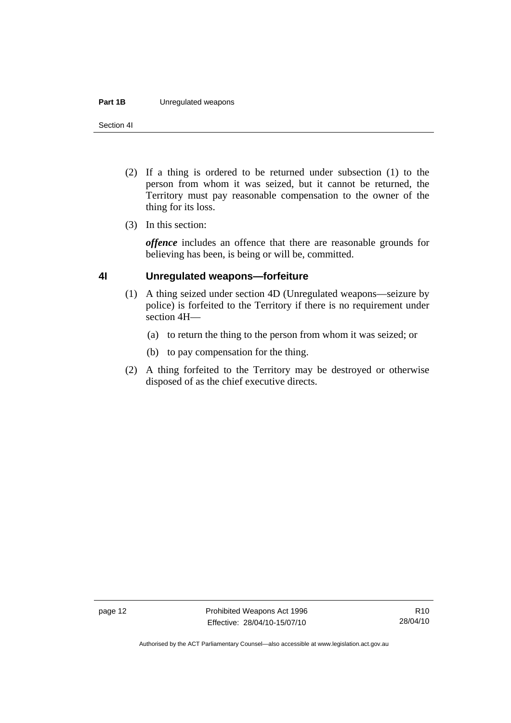#### <span id="page-17-0"></span>**Part 1B** Unregulated weapons

Section 4I

- (2) If a thing is ordered to be returned under subsection (1) to the person from whom it was seized, but it cannot be returned, the Territory must pay reasonable compensation to the owner of the thing for its loss.
- (3) In this section:

*offence* includes an offence that there are reasonable grounds for believing has been, is being or will be, committed.

# **4I Unregulated weapons—forfeiture**

- (1) A thing seized under section 4D (Unregulated weapons—seizure by police) is forfeited to the Territory if there is no requirement under section 4H—
	- (a) to return the thing to the person from whom it was seized; or
	- (b) to pay compensation for the thing.
- (2) A thing forfeited to the Territory may be destroyed or otherwise disposed of as the chief executive directs.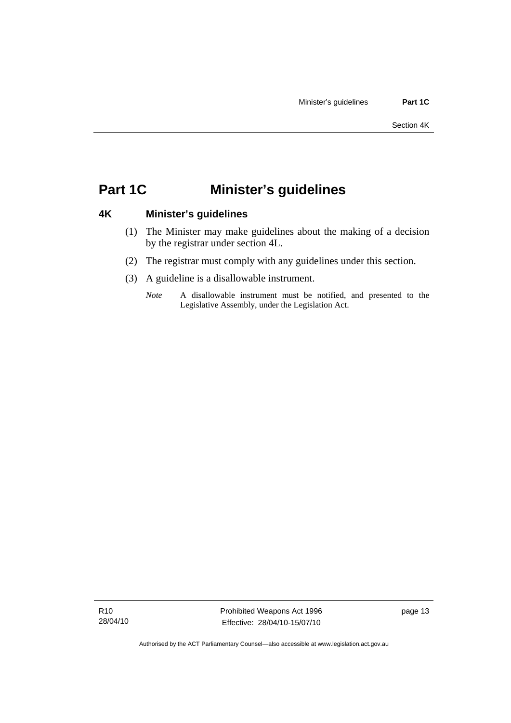# <span id="page-18-0"></span>**Part 1C Minister's guidelines**

# **4K Minister's guidelines**

- (1) The Minister may make guidelines about the making of a decision by the registrar under section 4L.
- (2) The registrar must comply with any guidelines under this section.
- (3) A guideline is a disallowable instrument.
	- *Note* A disallowable instrument must be notified, and presented to the Legislative Assembly, under the Legislation Act.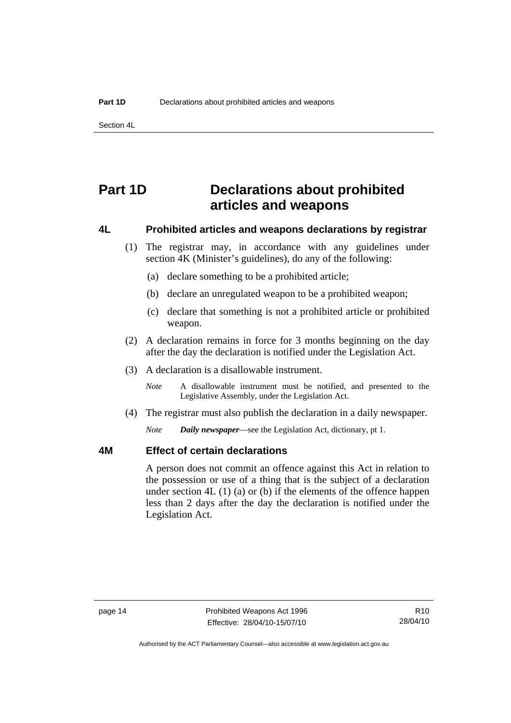<span id="page-19-0"></span>Section 4L

# **Part 1D Declarations about prohibited articles and weapons**

### **4L Prohibited articles and weapons declarations by registrar**

- (1) The registrar may, in accordance with any guidelines under section 4K (Minister's guidelines), do any of the following:
	- (a) declare something to be a prohibited article;
	- (b) declare an unregulated weapon to be a prohibited weapon;
	- (c) declare that something is not a prohibited article or prohibited weapon.
- (2) A declaration remains in force for 3 months beginning on the day after the day the declaration is notified under the Legislation Act.
- (3) A declaration is a disallowable instrument.

*Note* A disallowable instrument must be notified, and presented to the Legislative Assembly, under the Legislation Act.

(4) The registrar must also publish the declaration in a daily newspaper.

*Note Daily newspaper*—see the Legislation Act, dictionary, pt 1.

### **4M Effect of certain declarations**

A person does not commit an offence against this Act in relation to the possession or use of a thing that is the subject of a declaration under section  $4L(1)(a)$  or (b) if the elements of the offence happen less than 2 days after the day the declaration is notified under the Legislation Act.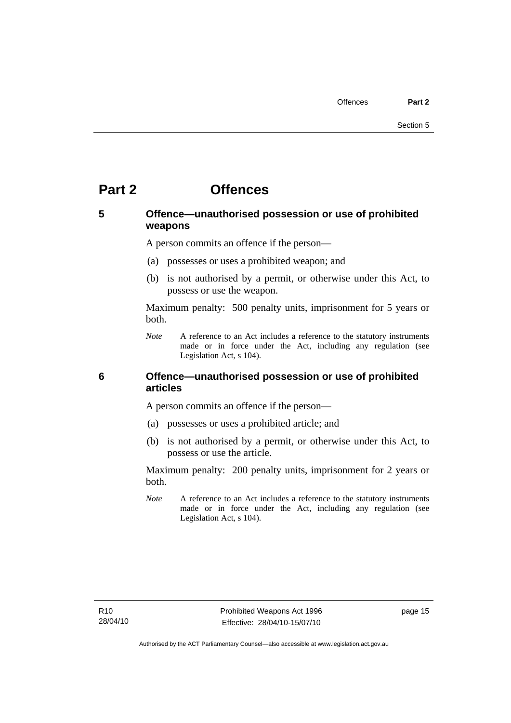# <span id="page-20-0"></span>**Part 2 Offences**

# **5 Offence—unauthorised possession or use of prohibited weapons**

A person commits an offence if the person—

- (a) possesses or uses a prohibited weapon; and
- (b) is not authorised by a permit, or otherwise under this Act, to possess or use the weapon.

Maximum penalty: 500 penalty units, imprisonment for 5 years or both.

*Note* A reference to an Act includes a reference to the statutory instruments made or in force under the Act, including any regulation (see Legislation Act, s 104).

# **6 Offence—unauthorised possession or use of prohibited articles**

A person commits an offence if the person—

- (a) possesses or uses a prohibited article; and
- (b) is not authorised by a permit, or otherwise under this Act, to possess or use the article.

Maximum penalty: 200 penalty units, imprisonment for 2 years or both.

*Note* A reference to an Act includes a reference to the statutory instruments made or in force under the Act, including any regulation (see Legislation Act, s 104).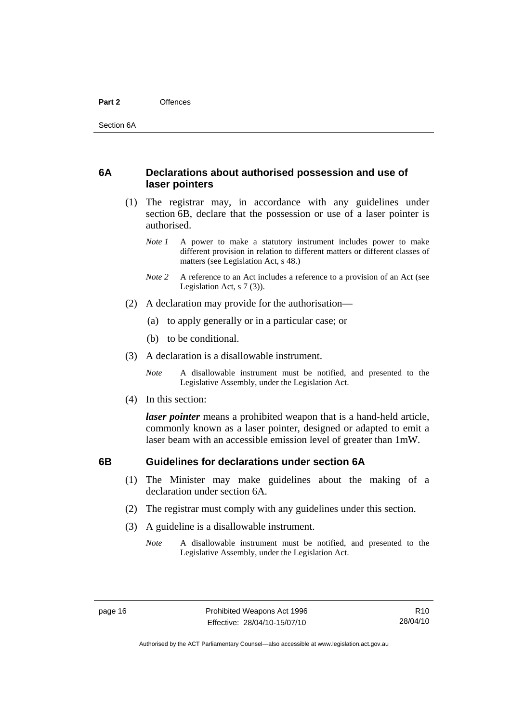## <span id="page-21-0"></span>**6A Declarations about authorised possession and use of laser pointers**

- (1) The registrar may, in accordance with any guidelines under section 6B, declare that the possession or use of a laser pointer is authorised.
	- *Note 1* A power to make a statutory instrument includes power to make different provision in relation to different matters or different classes of matters (see Legislation Act, s 48.)
	- *Note 2* A reference to an Act includes a reference to a provision of an Act (see Legislation Act, s 7 (3)).
- (2) A declaration may provide for the authorisation—
	- (a) to apply generally or in a particular case; or
	- (b) to be conditional.
- (3) A declaration is a disallowable instrument.

*Note* A disallowable instrument must be notified, and presented to the Legislative Assembly, under the Legislation Act.

(4) In this section:

*laser pointer* means a prohibited weapon that is a hand-held article, commonly known as a laser pointer, designed or adapted to emit a laser beam with an accessible emission level of greater than 1mW.

# **6B Guidelines for declarations under section 6A**

- (1) The Minister may make guidelines about the making of a declaration under section 6A.
- (2) The registrar must comply with any guidelines under this section.
- (3) A guideline is a disallowable instrument.
	- *Note* A disallowable instrument must be notified, and presented to the Legislative Assembly, under the Legislation Act.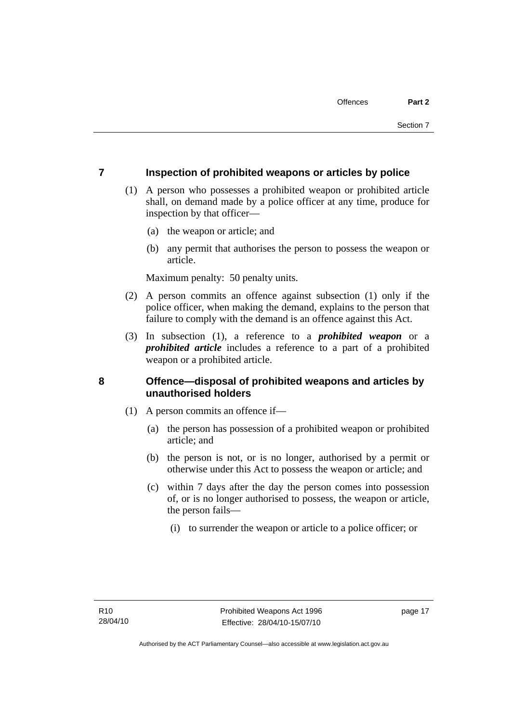# <span id="page-22-0"></span>**7 Inspection of prohibited weapons or articles by police**

- (1) A person who possesses a prohibited weapon or prohibited article shall, on demand made by a police officer at any time, produce for inspection by that officer—
	- (a) the weapon or article; and
	- (b) any permit that authorises the person to possess the weapon or article.

Maximum penalty: 50 penalty units.

- (2) A person commits an offence against subsection (1) only if the police officer, when making the demand, explains to the person that failure to comply with the demand is an offence against this Act.
- (3) In subsection (1), a reference to a *prohibited weapon* or a *prohibited article* includes a reference to a part of a prohibited weapon or a prohibited article.

# **8 Offence—disposal of prohibited weapons and articles by unauthorised holders**

- (1) A person commits an offence if—
	- (a) the person has possession of a prohibited weapon or prohibited article; and
	- (b) the person is not, or is no longer, authorised by a permit or otherwise under this Act to possess the weapon or article; and
	- (c) within 7 days after the day the person comes into possession of, or is no longer authorised to possess, the weapon or article, the person fails—
		- (i) to surrender the weapon or article to a police officer; or

page 17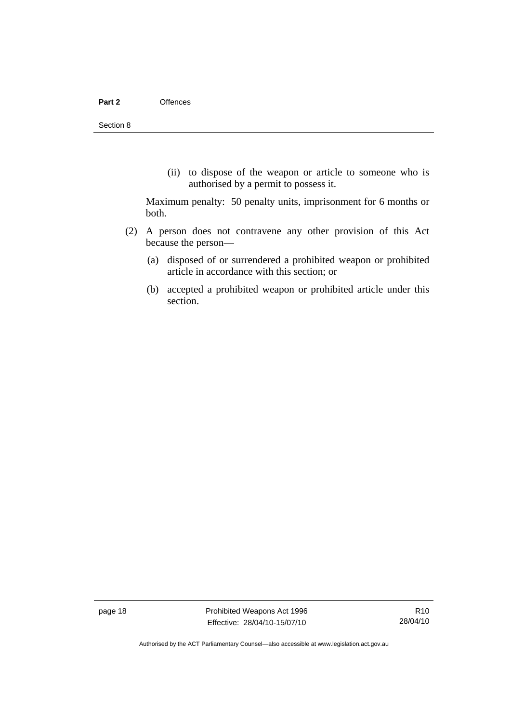(ii) to dispose of the weapon or article to someone who is authorised by a permit to possess it.

Maximum penalty: 50 penalty units, imprisonment for 6 months or both.

- (2) A person does not contravene any other provision of this Act because the person—
	- (a) disposed of or surrendered a prohibited weapon or prohibited article in accordance with this section; or
	- (b) accepted a prohibited weapon or prohibited article under this section.

page 18 **Prohibited Weapons Act 1996** Effective: 28/04/10-15/07/10

R10 28/04/10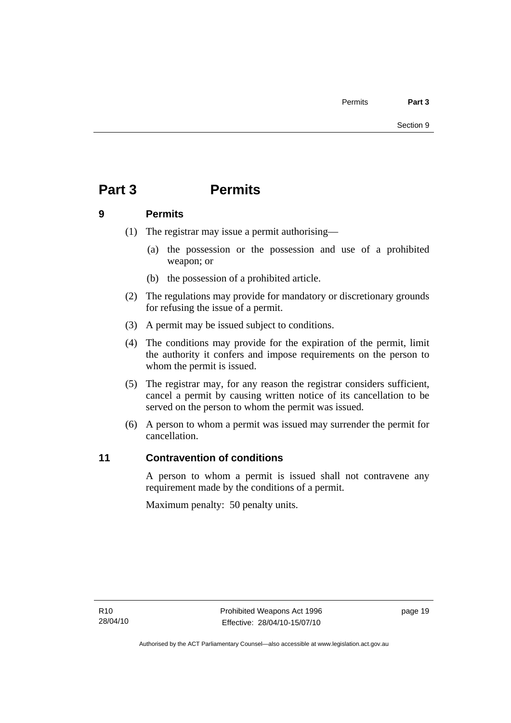# <span id="page-24-0"></span>**Part 3 Permits**

# **9 Permits**

- (1) The registrar may issue a permit authorising—
	- (a) the possession or the possession and use of a prohibited weapon; or
	- (b) the possession of a prohibited article.
- (2) The regulations may provide for mandatory or discretionary grounds for refusing the issue of a permit.
- (3) A permit may be issued subject to conditions.
- (4) The conditions may provide for the expiration of the permit, limit the authority it confers and impose requirements on the person to whom the permit is issued.
- (5) The registrar may, for any reason the registrar considers sufficient, cancel a permit by causing written notice of its cancellation to be served on the person to whom the permit was issued.
- (6) A person to whom a permit was issued may surrender the permit for cancellation.

# **11 Contravention of conditions**

A person to whom a permit is issued shall not contravene any requirement made by the conditions of a permit.

Maximum penalty: 50 penalty units.

page 19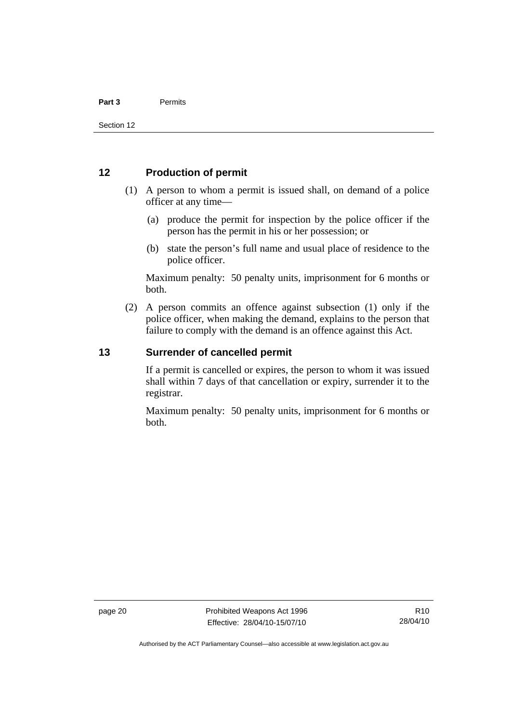### <span id="page-25-0"></span>**12 Production of permit**

- (1) A person to whom a permit is issued shall, on demand of a police officer at any time—
	- (a) produce the permit for inspection by the police officer if the person has the permit in his or her possession; or
	- (b) state the person's full name and usual place of residence to the police officer.

Maximum penalty: 50 penalty units, imprisonment for 6 months or both.

 (2) A person commits an offence against subsection (1) only if the police officer, when making the demand, explains to the person that failure to comply with the demand is an offence against this Act.

### **13 Surrender of cancelled permit**

If a permit is cancelled or expires, the person to whom it was issued shall within 7 days of that cancellation or expiry, surrender it to the registrar.

Maximum penalty: 50 penalty units, imprisonment for 6 months or both.

Authorised by the ACT Parliamentary Counsel—also accessible at www.legislation.act.gov.au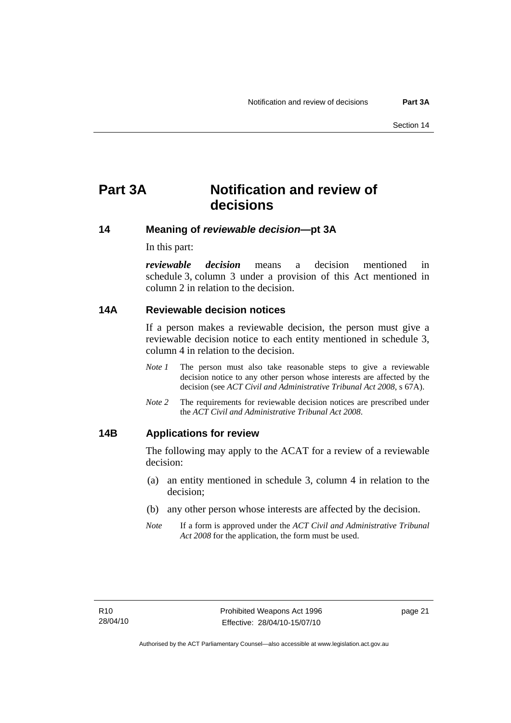# <span id="page-26-0"></span>**Part 3A Notification and review of decisions**

**14 Meaning of** *reviewable decision—***pt 3A** 

In this part:

*reviewable decision* means a decision mentioned in schedule 3, column 3 under a provision of this Act mentioned in column 2 in relation to the decision.

### **14A Reviewable decision notices**

If a person makes a reviewable decision, the person must give a reviewable decision notice to each entity mentioned in schedule 3, column 4 in relation to the decision.

- *Note 1* The person must also take reasonable steps to give a reviewable decision notice to any other person whose interests are affected by the decision (see *ACT Civil and Administrative Tribunal Act 2008*, s 67A).
- *Note 2* The requirements for reviewable decision notices are prescribed under the *ACT Civil and Administrative Tribunal Act 2008*.

### **14B Applications for review**

The following may apply to the ACAT for a review of a reviewable decision:

- (a) an entity mentioned in schedule 3, column 4 in relation to the decision;
- (b) any other person whose interests are affected by the decision.
- *Note* If a form is approved under the *ACT Civil and Administrative Tribunal Act 2008* for the application, the form must be used.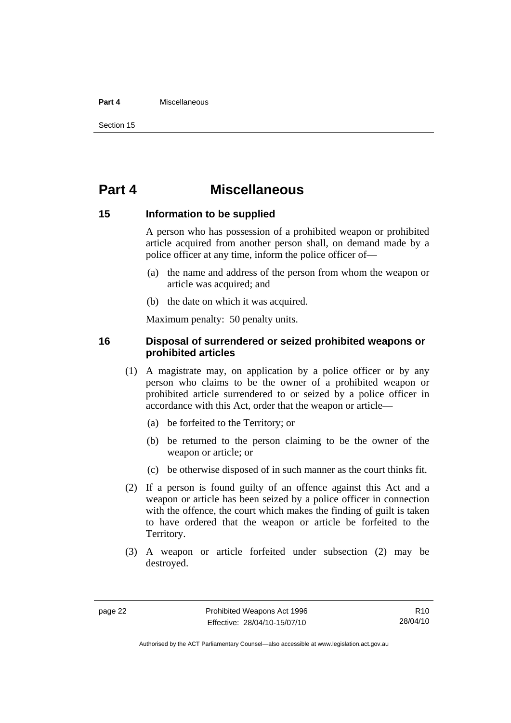#### <span id="page-27-0"></span>**Part 4** Miscellaneous

Section 15

# **Part 4 Miscellaneous**

### **15 Information to be supplied**

A person who has possession of a prohibited weapon or prohibited article acquired from another person shall, on demand made by a police officer at any time, inform the police officer of—

- (a) the name and address of the person from whom the weapon or article was acquired; and
- (b) the date on which it was acquired.

Maximum penalty: 50 penalty units.

### **16 Disposal of surrendered or seized prohibited weapons or prohibited articles**

- (1) A magistrate may, on application by a police officer or by any person who claims to be the owner of a prohibited weapon or prohibited article surrendered to or seized by a police officer in accordance with this Act, order that the weapon or article—
	- (a) be forfeited to the Territory; or
	- (b) be returned to the person claiming to be the owner of the weapon or article; or
	- (c) be otherwise disposed of in such manner as the court thinks fit.
- (2) If a person is found guilty of an offence against this Act and a weapon or article has been seized by a police officer in connection with the offence, the court which makes the finding of guilt is taken to have ordered that the weapon or article be forfeited to the Territory.
- (3) A weapon or article forfeited under subsection (2) may be destroyed.

R10 28/04/10

Authorised by the ACT Parliamentary Counsel—also accessible at www.legislation.act.gov.au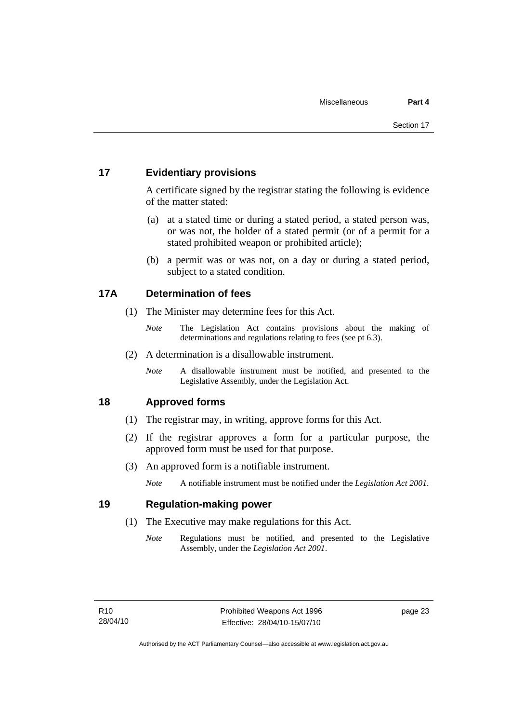# <span id="page-28-0"></span>**17 Evidentiary provisions**

A certificate signed by the registrar stating the following is evidence of the matter stated:

- (a) at a stated time or during a stated period, a stated person was, or was not, the holder of a stated permit (or of a permit for a stated prohibited weapon or prohibited article);
- (b) a permit was or was not, on a day or during a stated period, subject to a stated condition.

# **17A Determination of fees**

- (1) The Minister may determine fees for this Act.
	- *Note* The Legislation Act contains provisions about the making of determinations and regulations relating to fees (see pt 6.3).
- (2) A determination is a disallowable instrument.
	- *Note* A disallowable instrument must be notified, and presented to the Legislative Assembly, under the Legislation Act.

# **18 Approved forms**

- (1) The registrar may, in writing, approve forms for this Act.
- (2) If the registrar approves a form for a particular purpose, the approved form must be used for that purpose.
- (3) An approved form is a notifiable instrument.

*Note* A notifiable instrument must be notified under the *Legislation Act 2001*.

# **19 Regulation-making power**

- (1) The Executive may make regulations for this Act.
	- *Note* Regulations must be notified, and presented to the Legislative Assembly, under the *Legislation Act 2001*.

page 23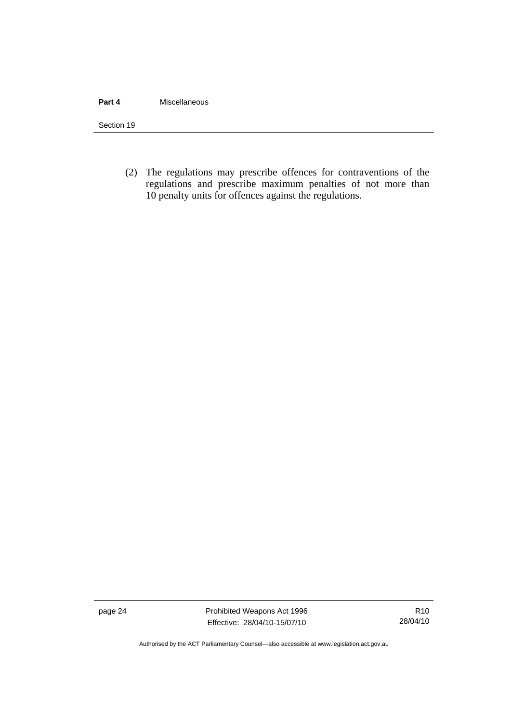### **Part 4** Miscellaneous

Section 19

 (2) The regulations may prescribe offences for contraventions of the regulations and prescribe maximum penalties of not more than 10 penalty units for offences against the regulations.

page 24 Prohibited Weapons Act 1996 Effective: 28/04/10-15/07/10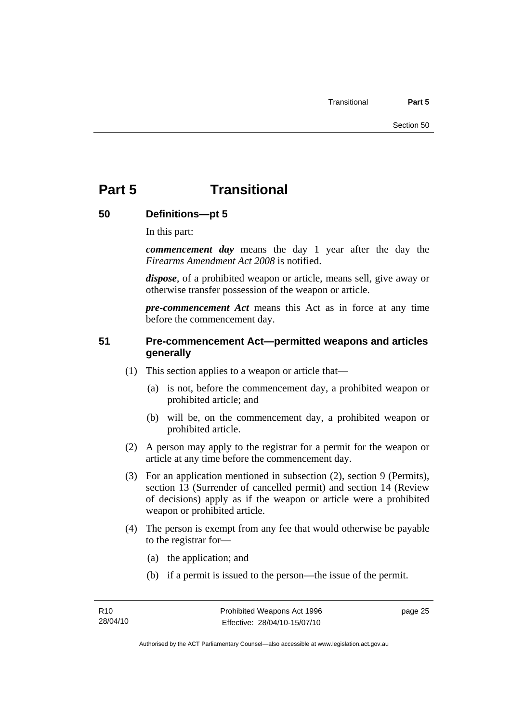# <span id="page-30-0"></span>**Part 5 Transitional**

# **50 Definitions—pt 5**

In this part:

*commencement day* means the day 1 year after the day the *Firearms Amendment Act 2008* is notified.

*dispose*, of a prohibited weapon or article, means sell, give away or otherwise transfer possession of the weapon or article.

*pre-commencement Act* means this Act as in force at any time before the commencement day.

# **51 Pre-commencement Act—permitted weapons and articles generally**

- (1) This section applies to a weapon or article that—
	- (a) is not, before the commencement day, a prohibited weapon or prohibited article; and
	- (b) will be, on the commencement day, a prohibited weapon or prohibited article.
- (2) A person may apply to the registrar for a permit for the weapon or article at any time before the commencement day.
- (3) For an application mentioned in subsection (2), section 9 (Permits), section 13 (Surrender of cancelled permit) and section 14 (Review of decisions) apply as if the weapon or article were a prohibited weapon or prohibited article.
- (4) The person is exempt from any fee that would otherwise be payable to the registrar for—
	- (a) the application; and
	- (b) if a permit is issued to the person—the issue of the permit.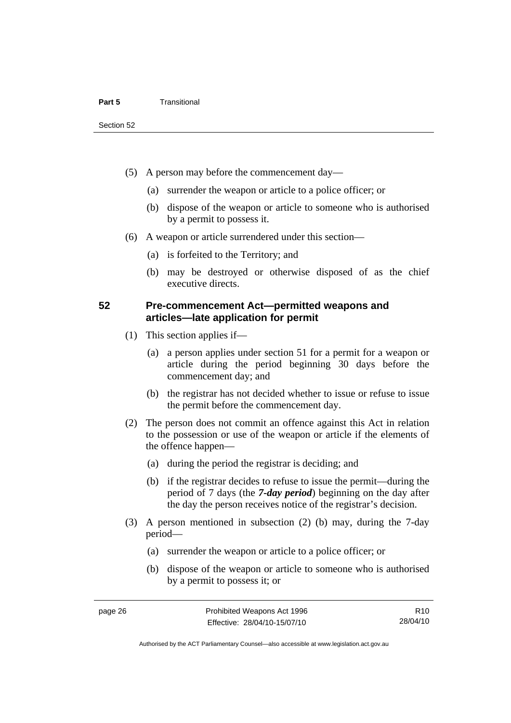- <span id="page-31-0"></span> (5) A person may before the commencement day—
	- (a) surrender the weapon or article to a police officer; or
	- (b) dispose of the weapon or article to someone who is authorised by a permit to possess it.
- (6) A weapon or article surrendered under this section—
	- (a) is forfeited to the Territory; and
	- (b) may be destroyed or otherwise disposed of as the chief executive directs.

## **52 Pre-commencement Act—permitted weapons and articles—late application for permit**

- (1) This section applies if—
	- (a) a person applies under section 51 for a permit for a weapon or article during the period beginning 30 days before the commencement day; and
	- (b) the registrar has not decided whether to issue or refuse to issue the permit before the commencement day.
- (2) The person does not commit an offence against this Act in relation to the possession or use of the weapon or article if the elements of the offence happen—
	- (a) during the period the registrar is deciding; and
	- (b) if the registrar decides to refuse to issue the permit—during the period of 7 days (the *7-day period*) beginning on the day after the day the person receives notice of the registrar's decision.
- (3) A person mentioned in subsection (2) (b) may, during the 7-day period—
	- (a) surrender the weapon or article to a police officer; or
	- (b) dispose of the weapon or article to someone who is authorised by a permit to possess it; or

R10 28/04/10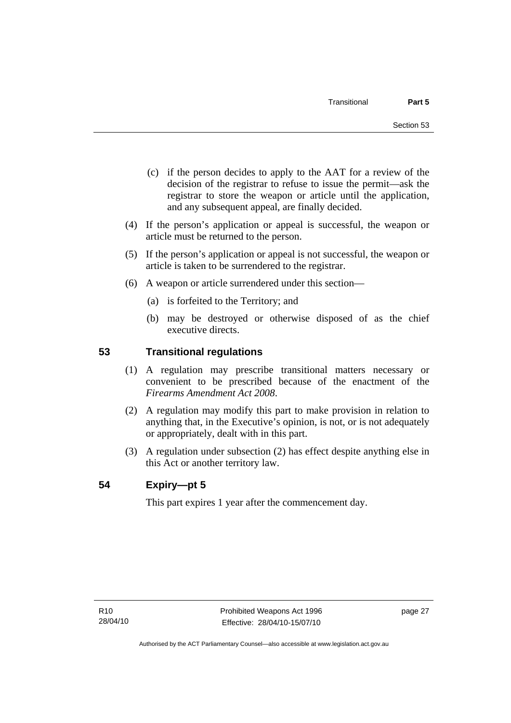- <span id="page-32-0"></span> (c) if the person decides to apply to the AAT for a review of the decision of the registrar to refuse to issue the permit—ask the registrar to store the weapon or article until the application, and any subsequent appeal, are finally decided.
- (4) If the person's application or appeal is successful, the weapon or article must be returned to the person.
- (5) If the person's application or appeal is not successful, the weapon or article is taken to be surrendered to the registrar.
- (6) A weapon or article surrendered under this section—
	- (a) is forfeited to the Territory; and
	- (b) may be destroyed or otherwise disposed of as the chief executive directs.

# **53 Transitional regulations**

- (1) A regulation may prescribe transitional matters necessary or convenient to be prescribed because of the enactment of the *Firearms Amendment Act 2008*.
- (2) A regulation may modify this part to make provision in relation to anything that, in the Executive's opinion, is not, or is not adequately or appropriately, dealt with in this part.
- (3) A regulation under subsection (2) has effect despite anything else in this Act or another territory law.

# **54 Expiry—pt 5**

This part expires 1 year after the commencement day.

page 27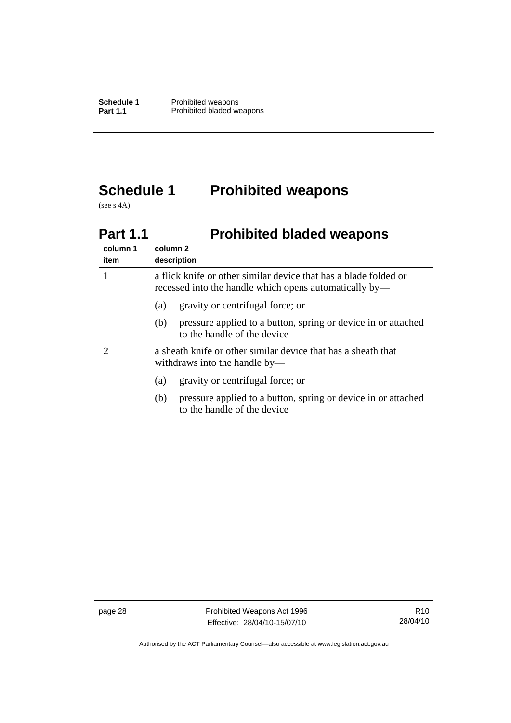# <span id="page-33-0"></span>**Schedule 1 Prohibited weapons**

(see s 4A)

# **Part 1.1** Prohibited bladed weapons

| column 1<br>item | column 2<br>description                                                                                                    |
|------------------|----------------------------------------------------------------------------------------------------------------------------|
|                  | a flick knife or other similar device that has a blade folded or<br>recessed into the handle which opens automatically by— |
|                  | gravity or centrifugal force; or<br>(a)                                                                                    |
|                  | pressure applied to a button, spring or device in or attached<br>(b)<br>to the handle of the device                        |
|                  | a sheath knife or other similar device that has a sheath that<br>withdraws into the handle by—                             |
|                  | gravity or centrifugal force; or<br>(a)                                                                                    |
|                  | pressure applied to a button, spring or device in or attached<br>(b)<br>to the handle of the device                        |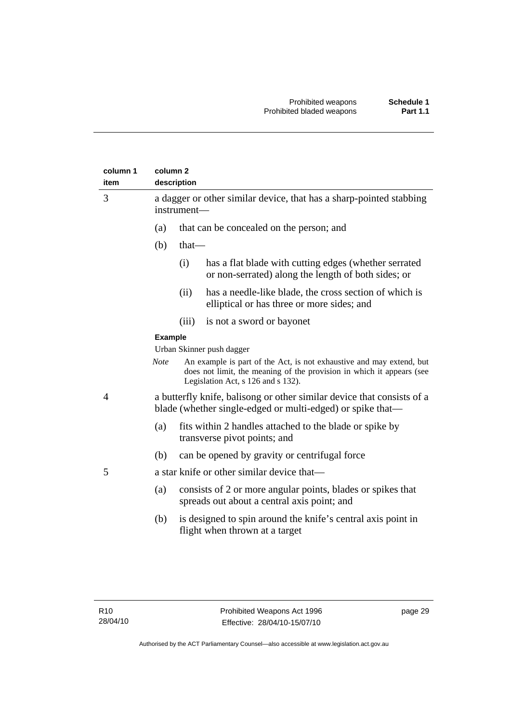| column 1<br>item | column <sub>2</sub> | description                                                                                                                          |                                                                                                                                                                                     |
|------------------|---------------------|--------------------------------------------------------------------------------------------------------------------------------------|-------------------------------------------------------------------------------------------------------------------------------------------------------------------------------------|
| 3                |                     | instrument-                                                                                                                          | a dagger or other similar device, that has a sharp-pointed stabbing                                                                                                                 |
|                  | (a)                 |                                                                                                                                      | that can be concealed on the person; and                                                                                                                                            |
|                  | (b)                 | that-                                                                                                                                |                                                                                                                                                                                     |
|                  |                     | (i)                                                                                                                                  | has a flat blade with cutting edges (whether serrated<br>or non-serrated) along the length of both sides; or                                                                        |
|                  |                     | (ii)                                                                                                                                 | has a needle-like blade, the cross section of which is<br>elliptical or has three or more sides; and                                                                                |
|                  |                     | (iii)                                                                                                                                | is not a sword or bayonet                                                                                                                                                           |
|                  | <b>Example</b>      |                                                                                                                                      |                                                                                                                                                                                     |
|                  |                     | Urban Skinner push dagger                                                                                                            |                                                                                                                                                                                     |
|                  | <b>Note</b>         |                                                                                                                                      | An example is part of the Act, is not exhaustive and may extend, but<br>does not limit, the meaning of the provision in which it appears (see<br>Legislation Act, s 126 and s 132). |
| 4                |                     | a butterfly knife, balisong or other similar device that consists of a<br>blade (whether single-edged or multi-edged) or spike that- |                                                                                                                                                                                     |
|                  | (a)                 |                                                                                                                                      | fits within 2 handles attached to the blade or spike by<br>transverse pivot points; and                                                                                             |
|                  | (b)                 |                                                                                                                                      | can be opened by gravity or centrifugal force                                                                                                                                       |
| 5                |                     | a star knife or other similar device that—                                                                                           |                                                                                                                                                                                     |
|                  | (a)                 |                                                                                                                                      | consists of 2 or more angular points, blades or spikes that<br>spreads out about a central axis point; and                                                                          |
|                  | (b)                 |                                                                                                                                      | is designed to spin around the knife's central axis point in<br>flight when thrown at a target                                                                                      |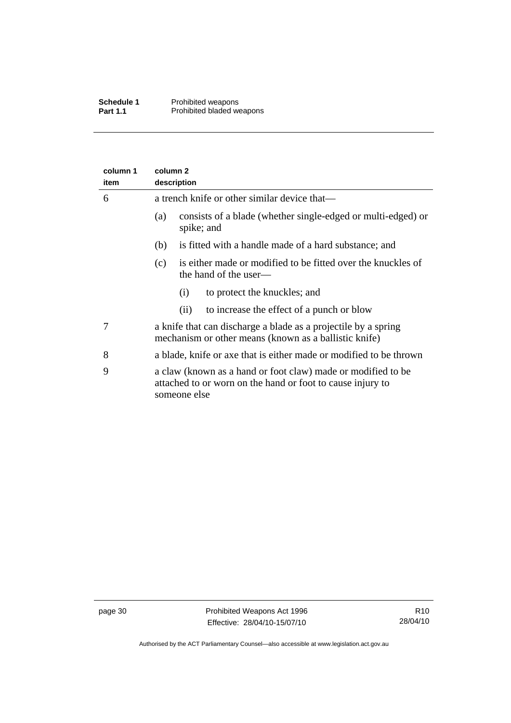| column 1<br>item | column <sub>2</sub><br>description                                                                                                         |  |  |
|------------------|--------------------------------------------------------------------------------------------------------------------------------------------|--|--|
| 6                | a trench knife or other similar device that—                                                                                               |  |  |
|                  | consists of a blade (whether single-edged or multi-edged) or<br>(a)<br>spike; and                                                          |  |  |
|                  | is fitted with a handle made of a hard substance; and<br>(b)                                                                               |  |  |
|                  | is either made or modified to be fitted over the knuckles of<br>(c)<br>the hand of the user—                                               |  |  |
|                  | to protect the knuckles; and<br>(i)                                                                                                        |  |  |
|                  | to increase the effect of a punch or blow<br>(i)                                                                                           |  |  |
| 7                | a knife that can discharge a blade as a projectile by a spring<br>mechanism or other means (known as a ballistic knife)                    |  |  |
| 8                | a blade, knife or axe that is either made or modified to be thrown                                                                         |  |  |
| 9                | a claw (known as a hand or foot claw) made or modified to be<br>attached to or worn on the hand or foot to cause injury to<br>someone else |  |  |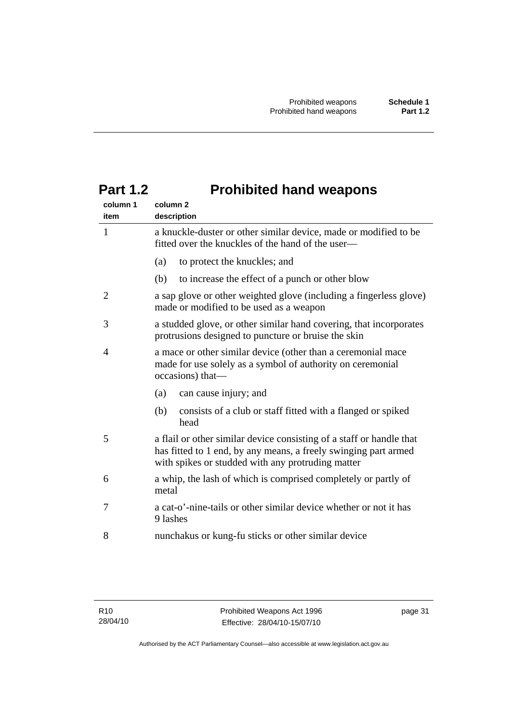| column 1<br>item | column 2<br>description                                                                                                                                                                      |  |  |
|------------------|----------------------------------------------------------------------------------------------------------------------------------------------------------------------------------------------|--|--|
| $\mathbf{1}$     | a knuckle-duster or other similar device, made or modified to be<br>fitted over the knuckles of the hand of the user—                                                                        |  |  |
|                  | to protect the knuckles; and<br>(a)                                                                                                                                                          |  |  |
|                  | to increase the effect of a punch or other blow<br>(b)                                                                                                                                       |  |  |
| $\overline{2}$   | a sap glove or other weighted glove (including a fingerless glove)<br>made or modified to be used as a weapon                                                                                |  |  |
| 3                | a studded glove, or other similar hand covering, that incorporates<br>protrusions designed to puncture or bruise the skin                                                                    |  |  |
| 4                | a mace or other similar device (other than a ceremonial mace<br>made for use solely as a symbol of authority on ceremonial<br>occasions) that-                                               |  |  |
|                  | (a)<br>can cause injury; and                                                                                                                                                                 |  |  |
|                  | (b)<br>consists of a club or staff fitted with a flanged or spiked<br>head                                                                                                                   |  |  |
| 5                | a flail or other similar device consisting of a staff or handle that<br>has fitted to 1 end, by any means, a freely swinging part armed<br>with spikes or studded with any protruding matter |  |  |
| 6                | a whip, the lash of which is comprised completely or partly of<br>metal                                                                                                                      |  |  |
| 7                | a cat-o'-nine-tails or other similar device whether or not it has<br>9 lashes                                                                                                                |  |  |
| 8                | nunchakus or kung-fu sticks or other similar device                                                                                                                                          |  |  |

# <span id="page-36-0"></span>**Part 1.2 Prohibited hand weapons**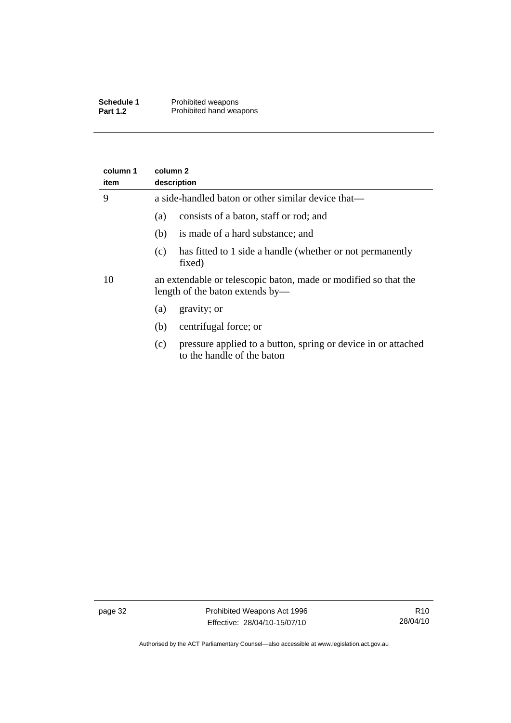| Schedule 1      | Prohibited weapons      |
|-----------------|-------------------------|
| <b>Part 1.2</b> | Prohibited hand weapons |

| column 1<br>item | column 2<br>description                                                                            |  |
|------------------|----------------------------------------------------------------------------------------------------|--|
| 9                | a side-handled baton or other similar device that—                                                 |  |
|                  | consists of a baton, staff or rod; and<br>(a)                                                      |  |
|                  | is made of a hard substance; and<br>(b)                                                            |  |
|                  | has fitted to 1 side a handle (whether or not permanently<br>(c)<br>fixed)                         |  |
| 10               | an extendable or telescopic baton, made or modified so that the<br>length of the baton extends by— |  |
|                  | gravity; or<br>(a)                                                                                 |  |
|                  | centrifugal force; or<br>(b)                                                                       |  |
|                  | pressure applied to a button, spring or device in or attached<br>(c)<br>to the handle of the baton |  |
|                  |                                                                                                    |  |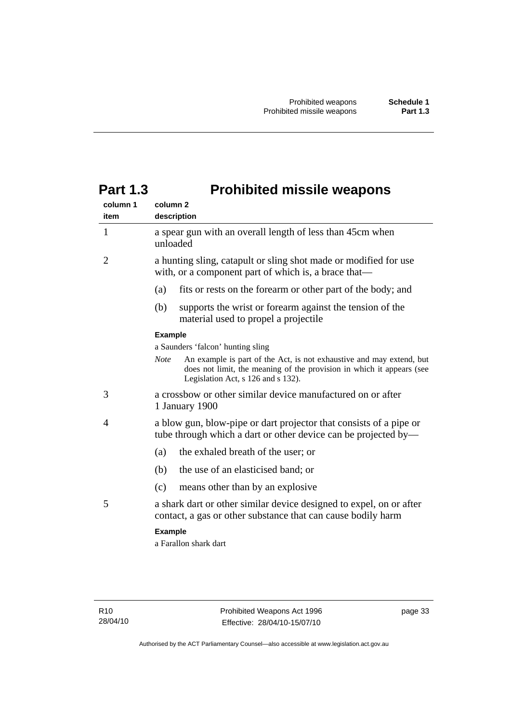<span id="page-38-0"></span>

| column 1<br>item | column <sub>2</sub><br>description                                                                                                                                                                 |  |
|------------------|----------------------------------------------------------------------------------------------------------------------------------------------------------------------------------------------------|--|
| $\mathbf{1}$     | a spear gun with an overall length of less than 45cm when<br>unloaded                                                                                                                              |  |
| $\overline{2}$   | a hunting sling, catapult or sling shot made or modified for use<br>with, or a component part of which is, a brace that—                                                                           |  |
|                  | fits or rests on the forearm or other part of the body; and<br>(a)                                                                                                                                 |  |
|                  | (b)<br>supports the wrist or forearm against the tension of the<br>material used to propel a projectile                                                                                            |  |
|                  | <b>Example</b>                                                                                                                                                                                     |  |
|                  | a Saunders 'falcon' hunting sling                                                                                                                                                                  |  |
|                  | <b>Note</b><br>An example is part of the Act, is not exhaustive and may extend, but<br>does not limit, the meaning of the provision in which it appears (see<br>Legislation Act, s 126 and s 132). |  |
| 3                | a crossbow or other similar device manufactured on or after<br>1 January 1900                                                                                                                      |  |
| 4                | a blow gun, blow-pipe or dart projector that consists of a pipe or<br>tube through which a dart or other device can be projected by—                                                               |  |
|                  | the exhaled breath of the user; or<br>(a)                                                                                                                                                          |  |
|                  | the use of an elasticised band; or<br>(b)                                                                                                                                                          |  |
|                  | (c)<br>means other than by an explosive                                                                                                                                                            |  |
| 5                | a shark dart or other similar device designed to expel, on or after<br>contact, a gas or other substance that can cause bodily harm                                                                |  |
|                  | <b>Example</b>                                                                                                                                                                                     |  |
|                  |                                                                                                                                                                                                    |  |

a Farallon shark dart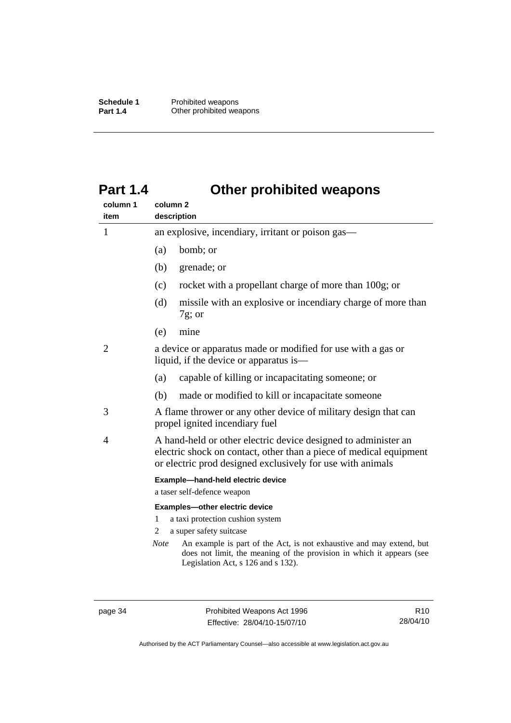# <span id="page-39-0"></span>**Part 1.4 Other prohibited weapons**

| column 1<br>item | column <sub>2</sub><br>description                                                                                                                                                                                                                                                                              |  |
|------------------|-----------------------------------------------------------------------------------------------------------------------------------------------------------------------------------------------------------------------------------------------------------------------------------------------------------------|--|
| 1                | an explosive, incendiary, irritant or poison gas—                                                                                                                                                                                                                                                               |  |
|                  | bomb; or<br>(a)                                                                                                                                                                                                                                                                                                 |  |
|                  | (b)<br>grenade; or                                                                                                                                                                                                                                                                                              |  |
|                  | rocket with a propellant charge of more than 100g; or<br>(c)                                                                                                                                                                                                                                                    |  |
|                  | missile with an explosive or incendiary charge of more than<br>(d)<br>$7g$ ; or                                                                                                                                                                                                                                 |  |
|                  | (e)<br>mine                                                                                                                                                                                                                                                                                                     |  |
| 2                | a device or apparatus made or modified for use with a gas or<br>liquid, if the device or apparatus is—                                                                                                                                                                                                          |  |
|                  | (a)<br>capable of killing or incapacitating someone; or                                                                                                                                                                                                                                                         |  |
|                  | (b)<br>made or modified to kill or incapacitate someone                                                                                                                                                                                                                                                         |  |
| 3                | A flame thrower or any other device of military design that can<br>propel ignited incendiary fuel                                                                                                                                                                                                               |  |
| 4                | A hand-held or other electric device designed to administer an<br>electric shock on contact, other than a piece of medical equipment<br>or electric prod designed exclusively for use with animals<br>Example-hand-held electric device<br>a taser self-defence weapon<br><b>Examples-other electric device</b> |  |
|                  |                                                                                                                                                                                                                                                                                                                 |  |
|                  |                                                                                                                                                                                                                                                                                                                 |  |
|                  | a taxi protection cushion system<br>1                                                                                                                                                                                                                                                                           |  |
|                  | a super safety suitcase<br>2                                                                                                                                                                                                                                                                                    |  |
|                  | An example is part of the Act, is not exhaustive and may extend, but<br><b>Note</b><br>does not limit, the meaning of the provision in which it appears (see                                                                                                                                                    |  |

page 34 Prohibited Weapons Act 1996 Effective: 28/04/10-15/07/10

Legislation Act, s 126 and s 132).

R10 28/04/10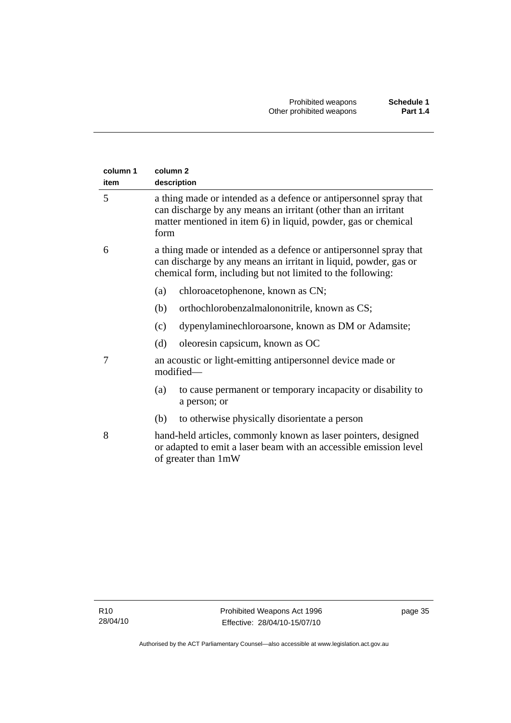| column <sub>2</sub><br>description                                                                                                                                                                            |  |
|---------------------------------------------------------------------------------------------------------------------------------------------------------------------------------------------------------------|--|
| a thing made or intended as a defence or antipersonnel spray that<br>can discharge by any means an irritant (other than an irritant<br>matter mentioned in item 6) in liquid, powder, gas or chemical<br>form |  |
| a thing made or intended as a defence or antipersonnel spray that<br>can discharge by any means an irritant in liquid, powder, gas or<br>chemical form, including but not limited to the following:           |  |
| chloroacetophenone, known as CN;<br>(a)                                                                                                                                                                       |  |
| orthochlorobenzalmalononitrile, known as CS;<br>(b)                                                                                                                                                           |  |
| dypenylaminechloroarsone, known as DM or Adamsite;<br>(c)                                                                                                                                                     |  |
| (d)<br>oleoresin capsicum, known as OC                                                                                                                                                                        |  |
| an acoustic or light-emitting antipersonnel device made or<br>modified-                                                                                                                                       |  |
| to cause permanent or temporary incapacity or disability to<br>(a)<br>a person; or                                                                                                                            |  |
| to otherwise physically disorientate a person<br>(b)                                                                                                                                                          |  |
| hand-held articles, commonly known as laser pointers, designed<br>or adapted to emit a laser beam with an accessible emission level<br>of greater than 1mW                                                    |  |
|                                                                                                                                                                                                               |  |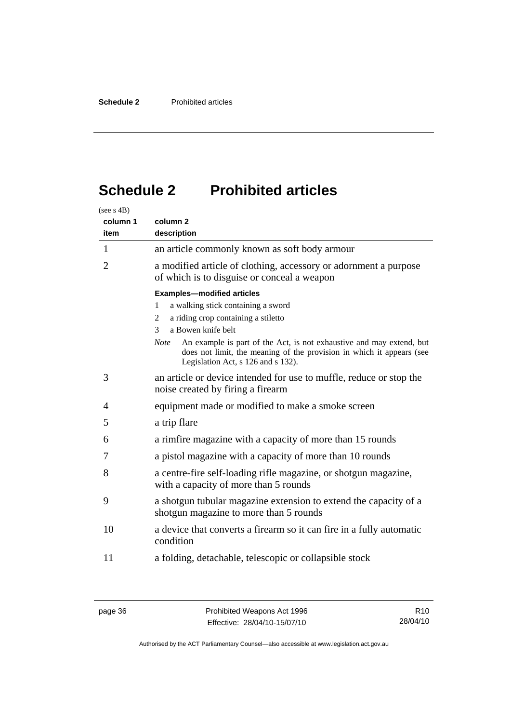# <span id="page-41-0"></span>**Schedule 2 Prohibited articles**

| (see $s$ 4B)     |                                                                                                                                                                                                                                                                                                                                                           |  |
|------------------|-----------------------------------------------------------------------------------------------------------------------------------------------------------------------------------------------------------------------------------------------------------------------------------------------------------------------------------------------------------|--|
| column 1<br>item | column <sub>2</sub><br>description                                                                                                                                                                                                                                                                                                                        |  |
| 1                | an article commonly known as soft body armour                                                                                                                                                                                                                                                                                                             |  |
| $\overline{2}$   | a modified article of clothing, accessory or adornment a purpose<br>of which is to disguise or conceal a weapon                                                                                                                                                                                                                                           |  |
|                  | <b>Examples-modified articles</b><br>a walking stick containing a sword<br>1<br>a riding crop containing a stiletto<br>2<br>a Bowen knife belt<br>3<br>An example is part of the Act, is not exhaustive and may extend, but<br><b>Note</b><br>does not limit, the meaning of the provision in which it appears (see<br>Legislation Act, s 126 and s 132). |  |
| 3                | an article or device intended for use to muffle, reduce or stop the<br>noise created by firing a firearm                                                                                                                                                                                                                                                  |  |
| 4                | equipment made or modified to make a smoke screen                                                                                                                                                                                                                                                                                                         |  |
| 5                | a trip flare                                                                                                                                                                                                                                                                                                                                              |  |
| 6                | a rimfire magazine with a capacity of more than 15 rounds                                                                                                                                                                                                                                                                                                 |  |
| 7                | a pistol magazine with a capacity of more than 10 rounds                                                                                                                                                                                                                                                                                                  |  |
| 8                | a centre-fire self-loading rifle magazine, or shotgun magazine,<br>with a capacity of more than 5 rounds                                                                                                                                                                                                                                                  |  |
| 9                | a shotgun tubular magazine extension to extend the capacity of a<br>shotgun magazine to more than 5 rounds                                                                                                                                                                                                                                                |  |
| 10               | a device that converts a firearm so it can fire in a fully automatic<br>condition                                                                                                                                                                                                                                                                         |  |
| 11               | a folding, detachable, telescopic or collapsible stock                                                                                                                                                                                                                                                                                                    |  |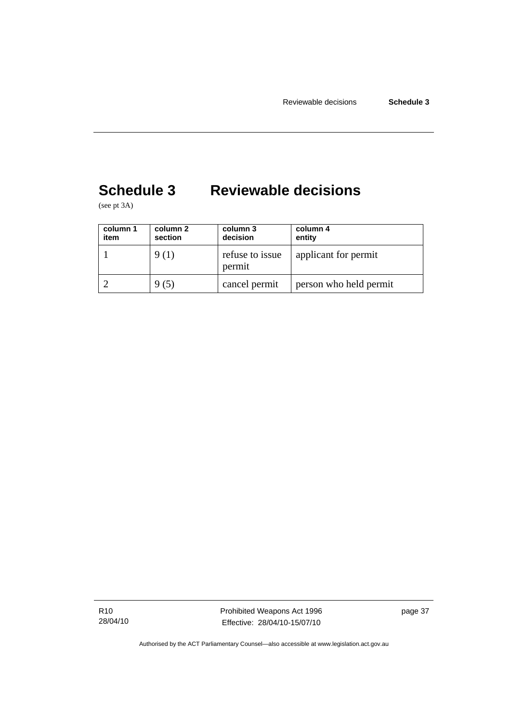# <span id="page-42-0"></span>**Schedule 3 Reviewable decisions**

(see pt 3A)

| column 1<br>item | column 2<br>section | column 3<br>decision      | column 4<br>entity     |
|------------------|---------------------|---------------------------|------------------------|
|                  | 9(1)                | refuse to issue<br>permit | applicant for permit   |
|                  | 9 (5)               | cancel permit             | person who held permit |

R10 28/04/10 Prohibited Weapons Act 1996 Effective: 28/04/10-15/07/10

page 37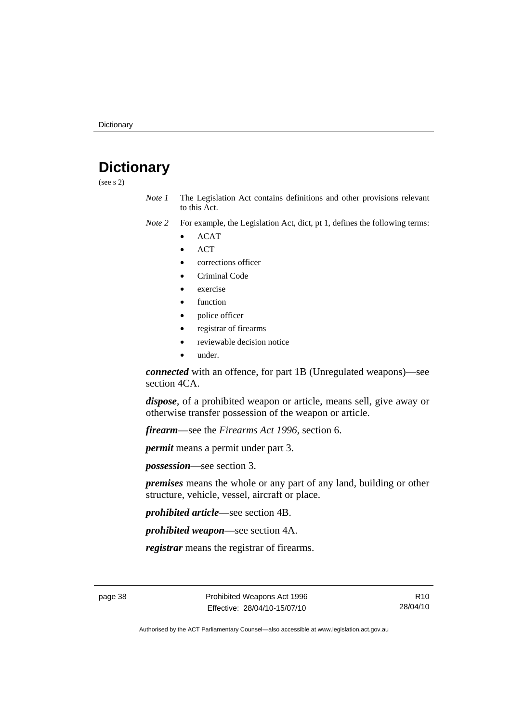# <span id="page-43-0"></span>**Dictionary**

(see s 2)

- *Note 1* The Legislation Act contains definitions and other provisions relevant to this Act.
- *Note 2* For example, the Legislation Act, dict, pt 1, defines the following terms:
	- ACAT
	- ACT
	- corrections officer
	- Criminal Code
	- exercise
	- **function**
	- police officer
	- registrar of firearms
	- reviewable decision notice
	- under.

*connected* with an offence, for part 1B (Unregulated weapons)—see section 4CA.

*dispose*, of a prohibited weapon or article, means sell, give away or otherwise transfer possession of the weapon or article.

*firearm*—see the *Firearms Act 1996*, section 6.

*permit* means a permit under part 3.

*possession*—see section 3.

*premises* means the whole or any part of any land, building or other structure, vehicle, vessel, aircraft or place.

*prohibited article*—see section 4B.

*prohibited weapon*—see section 4A.

*registrar* means the registrar of firearms.

R10 28/04/10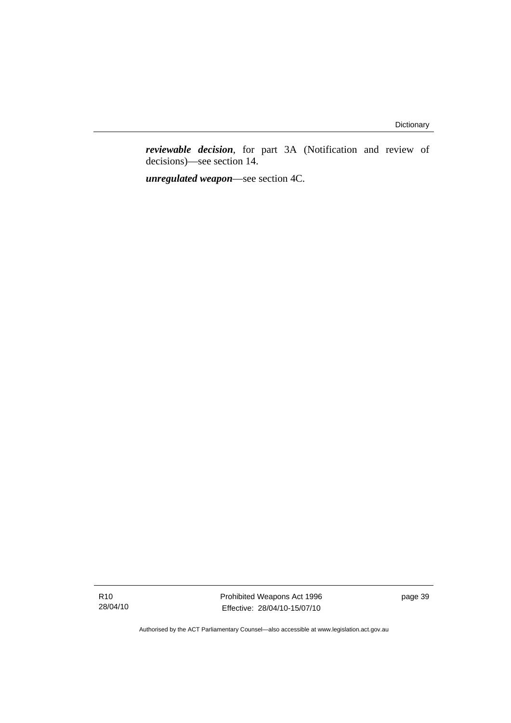*reviewable decision*, for part 3A (Notification and review of decisions)—see section 14.

*unregulated weapon*—see section 4C.

Prohibited Weapons Act 1996 Effective: 28/04/10-15/07/10

page 39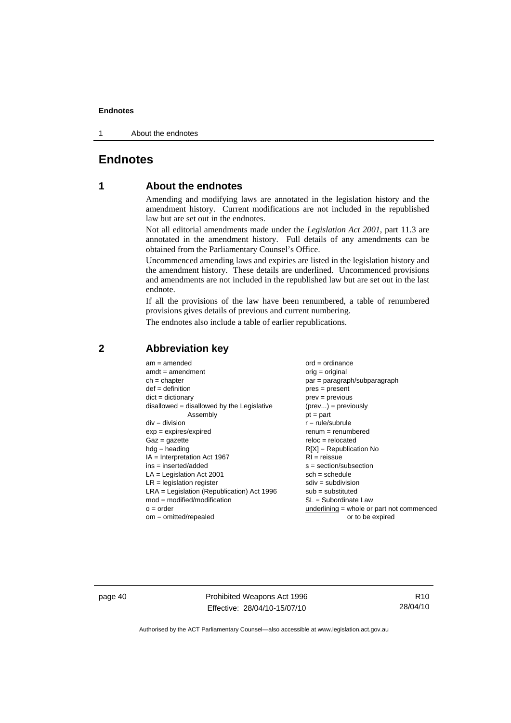<span id="page-45-0"></span>1 About the endnotes

# **Endnotes**

# **1 About the endnotes**

Amending and modifying laws are annotated in the legislation history and the amendment history. Current modifications are not included in the republished law but are set out in the endnotes.

Not all editorial amendments made under the *Legislation Act 2001*, part 11.3 are annotated in the amendment history. Full details of any amendments can be obtained from the Parliamentary Counsel's Office.

Uncommenced amending laws and expiries are listed in the legislation history and the amendment history. These details are underlined. Uncommenced provisions and amendments are not included in the republished law but are set out in the last endnote.

If all the provisions of the law have been renumbered, a table of renumbered provisions gives details of previous and current numbering.

The endnotes also include a table of earlier republications.

| $am = amended$<br>$amdt = amendment$<br>$ch = chapter$<br>$def = definition$<br>$dict = dictionary$<br>disallowed = disallowed by the Legislative<br>Assembly<br>$div = division$<br>$exp = expires/expired$<br>$Gaz = gazette$<br>$h dq =$ heading<br>$IA = Interpretation Act 1967$<br>$ins = inserted/added$<br>$LA =$ Legislation Act 2001<br>$LR =$ legislation register<br>$LRA =$ Legislation (Republication) Act 1996<br>$mod = modified/modification$<br>$o = order$ | $ord = ordinance$<br>$orig = original$<br>par = paragraph/subparagraph<br>$pres = present$<br>$prev = previous$<br>$(\text{prev}) = \text{previously}$<br>$pt = part$<br>$r = rule/subrule$<br>$renum = renumbered$<br>$reloc = relocated$<br>$R[X]$ = Republication No<br>$RI = reissue$<br>$s = section/subsection$<br>$sch = schedule$<br>$sdiv = subdivision$<br>$sub = substituted$<br>SL = Subordinate Law<br>underlining = whole or part not commenced |
|-------------------------------------------------------------------------------------------------------------------------------------------------------------------------------------------------------------------------------------------------------------------------------------------------------------------------------------------------------------------------------------------------------------------------------------------------------------------------------|---------------------------------------------------------------------------------------------------------------------------------------------------------------------------------------------------------------------------------------------------------------------------------------------------------------------------------------------------------------------------------------------------------------------------------------------------------------|
| $om = omitted/repealed$                                                                                                                                                                                                                                                                                                                                                                                                                                                       | or to be expired                                                                                                                                                                                                                                                                                                                                                                                                                                              |
|                                                                                                                                                                                                                                                                                                                                                                                                                                                                               |                                                                                                                                                                                                                                                                                                                                                                                                                                                               |

### **2 Abbreviation key**

page 40 **Prohibited Weapons Act 1996** Effective: 28/04/10-15/07/10

R10 28/04/10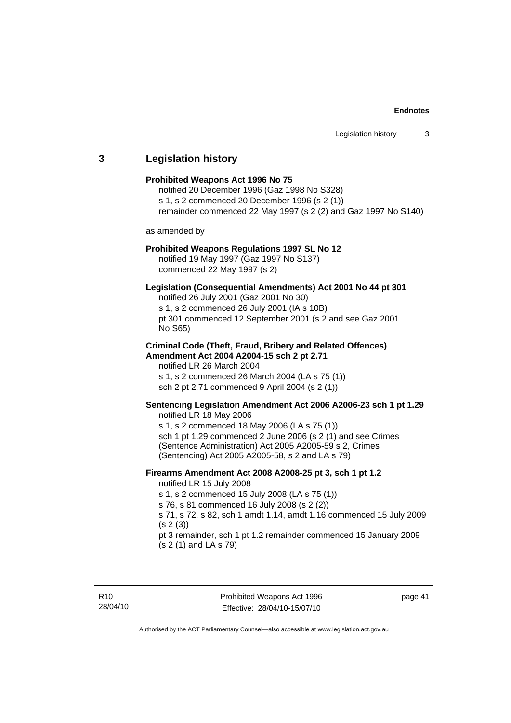# <span id="page-46-0"></span>**3 Legislation history**

| Prohibited Weapons Act 1996 No 75<br>notified 20 December 1996 (Gaz 1998 No S328)<br>s 1, s 2 commenced 20 December 1996 (s 2 (1))<br>remainder commenced 22 May 1997 (s 2 (2) and Gaz 1997 No S140)                                                                                                                                                                |
|---------------------------------------------------------------------------------------------------------------------------------------------------------------------------------------------------------------------------------------------------------------------------------------------------------------------------------------------------------------------|
| as amended by                                                                                                                                                                                                                                                                                                                                                       |
| Prohibited Weapons Regulations 1997 SL No 12<br>notified 19 May 1997 (Gaz 1997 No S137)<br>commenced 22 May 1997 (s 2)                                                                                                                                                                                                                                              |
| Legislation (Consequential Amendments) Act 2001 No 44 pt 301<br>notified 26 July 2001 (Gaz 2001 No 30)<br>s 1, s 2 commenced 26 July 2001 (IA s 10B)<br>pt 301 commenced 12 September 2001 (s 2 and see Gaz 2001<br>No S65)                                                                                                                                         |
| <b>Criminal Code (Theft, Fraud, Bribery and Related Offences)</b><br>Amendment Act 2004 A2004-15 sch 2 pt 2.71<br>notified LR 26 March 2004<br>s 1, s 2 commenced 26 March 2004 (LA s 75 (1))<br>sch 2 pt 2.71 commenced 9 April 2004 (s 2 (1))                                                                                                                     |
| Sentencing Legislation Amendment Act 2006 A2006-23 sch 1 pt 1.29<br>notified LR 18 May 2006<br>s 1, s 2 commenced 18 May 2006 (LA s 75 (1))<br>sch 1 pt 1.29 commenced 2 June 2006 (s 2 (1) and see Crimes<br>(Sentence Administration) Act 2005 A2005-59 s 2, Crimes<br>(Sentencing) Act 2005 A2005-58, s 2 and LA s 79)                                           |
| Firearms Amendment Act 2008 A2008-25 pt 3, sch 1 pt 1.2<br>notified LR 15 July 2008<br>s 1, s 2 commenced 15 July 2008 (LA s 75 (1))<br>s 76, s 81 commenced 16 July 2008 (s 2 (2))<br>s 71, s 72, s 82, sch 1 amdt 1.14, amdt 1.16 commenced 15 July 2009<br>(s 2(3))<br>pt 3 remainder, sch 1 pt 1.2 remainder commenced 15 January 2009<br>(s 2 (1) and LA s 79) |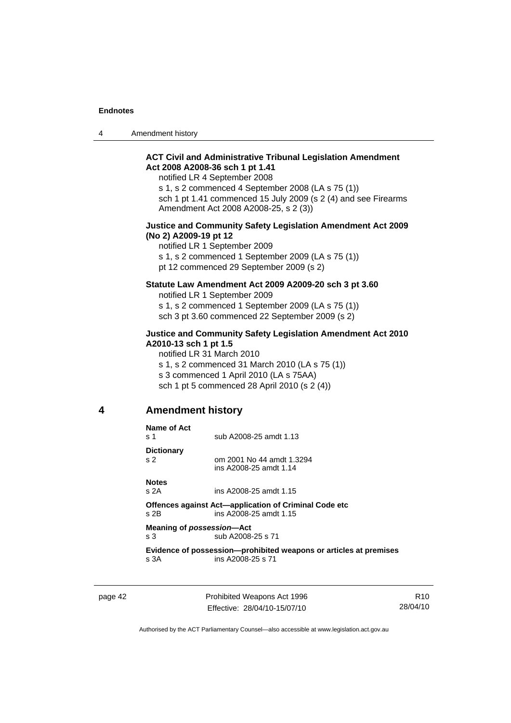<span id="page-47-0"></span>4 Amendment history

### **ACT Civil and Administrative Tribunal Legislation Amendment Act 2008 A2008-36 sch 1 pt 1.41**

notified LR 4 September 2008

s 1, s 2 commenced 4 September 2008 (LA s 75 (1)) sch 1 pt 1.41 commenced 15 July 2009 (s 2 (4) and see Firearms Amendment Act 2008 A2008-25, s 2 (3))

### **Justice and Community Safety Legislation Amendment Act 2009 (No 2) A2009-19 pt 12**

notified LR 1 September 2009 s 1, s 2 commenced 1 September 2009 (LA s 75 (1)) pt 12 commenced 29 September 2009 (s 2)

### **Statute Law Amendment Act 2009 A2009-20 sch 3 pt 3.60**

notified LR 1 September 2009

s 1, s 2 commenced 1 September 2009 (LA s 75 (1)) sch 3 pt 3.60 commenced 22 September 2009 (s 2)

### **Justice and Community Safety Legislation Amendment Act 2010 A2010-13 sch 1 pt 1.5**

notified LR 31 March 2010 s 1, s 2 commenced 31 March 2010 (LA s 75 (1)) s 3 commenced 1 April 2010 (LA s 75AA) sch 1 pt 5 commenced 28 April 2010 (s 2 (4))

# **4 Amendment history**

| Name of Act<br>s 1                                                                              | sub A2008-25 amdt 1.13                              |  |
|-------------------------------------------------------------------------------------------------|-----------------------------------------------------|--|
| <b>Dictionary</b><br>S <sub>2</sub>                                                             | om 2001 No 44 amdt 1.3294<br>ins A2008-25 amdt 1.14 |  |
| <b>Notes</b><br>s 2A                                                                            | ins A2008-25 amdt 1.15                              |  |
| Offences against Act—application of Criminal Code etc<br>ins A2008-25 amdt 1.15<br>s 2B         |                                                     |  |
| Meaning of possession-Act<br>sub A2008-25 s 71<br>s 3                                           |                                                     |  |
| Evidence of possession--prohibited weapons or articles at premises<br>ins A2008-25 s 71<br>s 3A |                                                     |  |
|                                                                                                 |                                                     |  |

page 42 **Prohibited Weapons Act 1996** Effective: 28/04/10-15/07/10

R10 28/04/10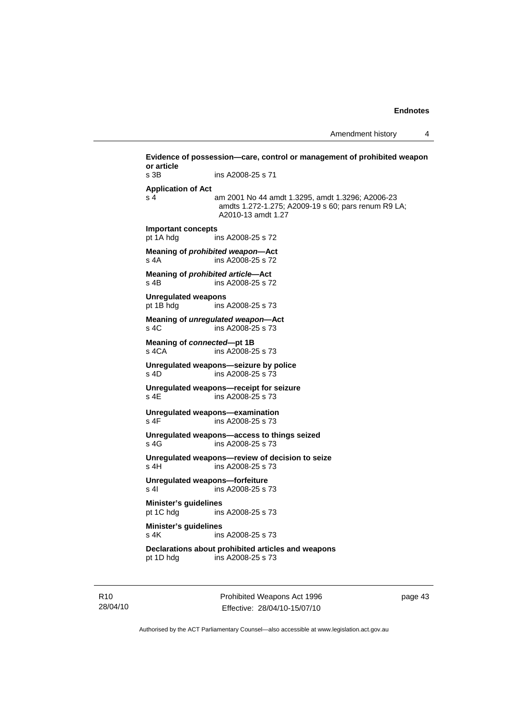Amendment history 4

| s 3B                                      | ins A2008-25 s 71                                                                                                             |
|-------------------------------------------|-------------------------------------------------------------------------------------------------------------------------------|
| <b>Application of Act</b>                 |                                                                                                                               |
| s <sub>4</sub>                            | am 2001 No 44 amdt 1.3295, amdt 1.3296; A2006-23<br>amdts 1.272-1.275; A2009-19 s 60; pars renum R9 LA;<br>A2010-13 amdt 1.27 |
| <b>Important concepts</b><br>pt 1A hdg    | ins A2008-25 s 72                                                                                                             |
| s 4A                                      | Meaning of prohibited weapon-Act<br>ins A2008-25 s 72                                                                         |
| s 4B                                      | Meaning of prohibited article-Act<br>ins A2008-25 s 72                                                                        |
| <b>Unregulated weapons</b><br>pt 1B hdg   | ins A2008-25 s 73                                                                                                             |
| s 4C                                      | Meaning of unregulated weapon-Act<br>ins A2008-25 s 73                                                                        |
| s 4CA                                     | Meaning of connected-pt 1B<br>ins A2008-25 s 73                                                                               |
| s 4D                                      | Unregulated weapons-seizure by police<br>ins A2008-25 s 73                                                                    |
| s 4F                                      | Unregulated weapons-receipt for seizure<br>ins A2008-25 s 73                                                                  |
| s 4F                                      | Unregulated weapons-examination<br>ins A2008-25 s 73                                                                          |
| $s$ 4G                                    | Unregulated weapons-access to things seized<br>ins A2008-25 s 73                                                              |
| s 4H                                      | Unregulated weapons-review of decision to seize<br>ins A2008-25 s 73                                                          |
| s 4l                                      | Unregulated weapons-forfeiture<br>ins A2008-25 s 73                                                                           |
| <b>Minister's guidelines</b><br>pt 1C hdg | ins A2008-25 s 73                                                                                                             |
| <b>Minister's guidelines</b><br>s 4K      | ins A2008-25 s 73                                                                                                             |
| pt 1D hdg                                 | Declarations about prohibited articles and weapons<br>ins A2008-25 s 73                                                       |

R10 28/04/10 Prohibited Weapons Act 1996 Effective: 28/04/10-15/07/10

page 43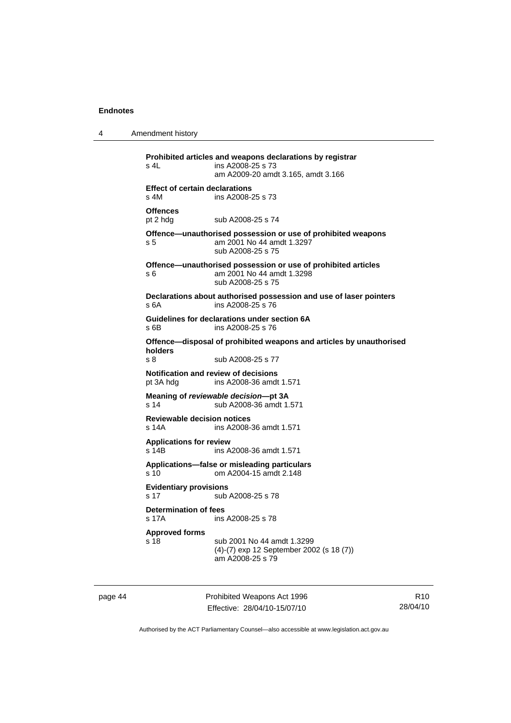4 Amendment history

**Prohibited articles and weapons declarations by registrar**  s 4L ins A2008-25 s 73 am A2009-20 amdt 3.165, amdt 3.166 **Effect of certain declarations**  s 4M ins A2008-25 s 73 **Offences**<br>pt 2 hdg sub A2008-25 s 74 **Offence—unauthorised possession or use of prohibited weapons**  s 5 am 2001 No 44 amdt 1.3297 sub A2008-25 s 75 **Offence—unauthorised possession or use of prohibited articles**  s 6 am 2001 No 44 amdt 1.3298 sub A2008-25 s 75 **Declarations about authorised possession and use of laser pointers**  s 6A ins A2008-25 s 76 **Guidelines for declarations under section 6A**  s 6B ins A2008-25 s 76 **Offence—disposal of prohibited weapons and articles by unauthorised holders**  s 8 sub A2008-25 s 77 **Notification and review of decisions**  pt 3A hdg ins A2008-36 amdt 1.571 **Meaning of** *reviewable decision—***pt 3A**  s 14 sub A2008-36 amdt 1.571 **Reviewable decision notices**  s 14A ins A2008-36 amdt 1.571 **Applications for review**  s 14B ins A2008-36 amdt 1.571 **Applications—false or misleading particulars**  s 10 om A2004-15 amdt 2.148 **Evidentiary provisions**  s 17 sub A2008-25 s 78 **Determination of fees**  s 17A ins A2008-25 s 78 **Approved forms**  s 18 sub 2001 No 44 amdt 1.3299 (4)-(7) exp 12 September 2002 (s 18 (7)) am A2008-25 s 79

page 44 **Prohibited Weapons Act 1996** Effective: 28/04/10-15/07/10

R10 28/04/10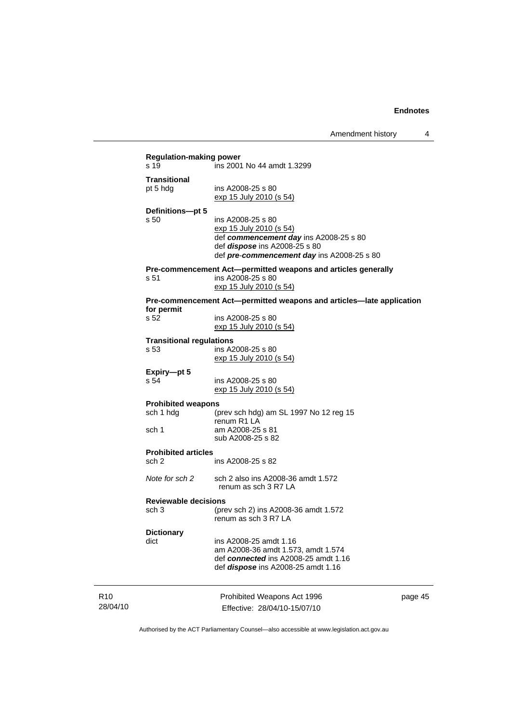### **Regulation-making power**

s 19 ins 2001 No 44 amdt 1.3299

| Transitional |                         |
|--------------|-------------------------|
| pt 5 hdg     | ins A2008-25 s 80       |
|              | exp 15 July 2010 (s 54) |

# **Definitions—pt 5**

ins A2008-25 s 80 exp 15 July 2010 (s 54) def *commencement day* ins A2008-25 s 80 def *dispose* ins A2008-25 s 80 def *pre*-*commencement day* ins A2008-25 s 80

### **Pre-commencement Act—permitted weapons and articles generally**

s 51 ins A2008-25 s 80 exp 15 July 2010 (s 54)

### **Pre-commencement Act—permitted weapons and articles—late application for permit**

| s 52 | ins A2008-25 s 80       |  |
|------|-------------------------|--|
|      | exp 15 July 2010 (s 54) |  |

#### **Transitional regulations**

s 53 ins A2008-25 s 80 exp 15 July 2010 (s 54)

**Expiry—pt 5**   $s\overline{54}$ 

| s 54 | ins A2008-25 s 80       |  |  |
|------|-------------------------|--|--|
|      | exp 15 July 2010 (s 54) |  |  |

#### **Prohibited weapons**

| sch 1 hdg | (prev sch hdg) am SL 1997 No 12 reg 15 |
|-----------|----------------------------------------|
|           | renum R1 LA                            |
| sch 1     | am A2008-25 s 81                       |
|           | sub A2008-25 s 82                      |

**Prohibited articles** 

- ins A2008-25 s 82
- *Note for sch 2* sch 2 also ins A2008-36 amdt 1.572 renum as sch 3 R7 LA

### **Reviewable decisions**

sch 3 (prev sch 2) ins A2008-36 amdt 1.572 renum as sch 3 R7 LA

### **Dictionary**

dict ins A2008-25 amdt 1.16 am A2008-36 amdt 1.573, amdt 1.574 def *connected* ins A2008-25 amdt 1.16 def *dispose* ins A2008-25 amdt 1.16

R10 28/04/10 Prohibited Weapons Act 1996 Effective: 28/04/10-15/07/10 page 45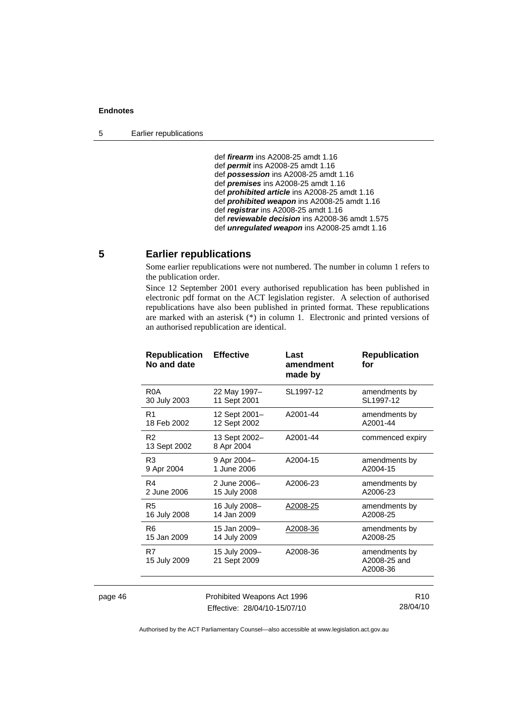<span id="page-51-0"></span> def *firearm* ins A2008-25 amdt 1.16 def *permit* ins A2008-25 amdt 1.16 def *possession* ins A2008-25 amdt 1.16 def *premises* ins A2008-25 amdt 1.16 def *prohibited article* ins A2008-25 amdt 1.16 def *prohibited weapon* ins A2008-25 amdt 1.16 def *registrar* ins A2008-25 amdt 1.16 def *reviewable decision* ins A2008-36 amdt 1.575 def *unregulated weapon* ins A2008-25 amdt 1.16

### **5 Earlier republications**

Some earlier republications were not numbered. The number in column 1 refers to the publication order.

Since 12 September 2001 every authorised republication has been published in electronic pdf format on the ACT legislation register. A selection of authorised republications have also been published in printed format. These republications are marked with an asterisk  $(*)$  in column 1. Electronic and printed versions of an authorised republication are identical.

| <b>Republication</b><br>No and date | <b>Effective</b>              | Last<br>amendment<br>made by | <b>Republication</b><br>for               |
|-------------------------------------|-------------------------------|------------------------------|-------------------------------------------|
| R <sub>0</sub> A                    | 22 May 1997-                  | SL1997-12                    | amendments by                             |
| 30 July 2003                        | 11 Sept 2001                  |                              | SL1997-12                                 |
| R <sub>1</sub>                      | 12 Sept 2001-                 | A2001-44                     | amendments by                             |
| 18 Feb 2002                         | 12 Sept 2002                  |                              | A2001-44                                  |
| R <sub>2</sub><br>13 Sept 2002      | 13 Sept 2002-<br>8 Apr 2004   | A2001-44                     | commenced expiry                          |
| R <sub>3</sub>                      | 9 Apr 2004-                   | A2004-15                     | amendments by                             |
| 9 Apr 2004                          | 1 June 2006                   |                              | A2004-15                                  |
| R4                                  | 2 June 2006-                  | A2006-23                     | amendments by                             |
| 2 June 2006                         | 15 July 2008                  |                              | A2006-23                                  |
| R <sub>5</sub>                      | 16 July 2008-                 | A2008-25                     | amendments by                             |
| 16 July 2008                        | 14 Jan 2009                   |                              | A2008-25                                  |
| R <sub>6</sub>                      | 15 Jan 2009-                  | A2008-36                     | amendments by                             |
| 15 Jan 2009                         | 14 July 2009                  |                              | A2008-25                                  |
| R7<br>15 July 2009                  | 15 July 2009-<br>21 Sept 2009 | A2008-36                     | amendments by<br>A2008-25 and<br>A2008-36 |
|                                     |                               |                              |                                           |

page 46 **Prohibited Weapons Act 1996** Effective: 28/04/10-15/07/10

R10 28/04/10